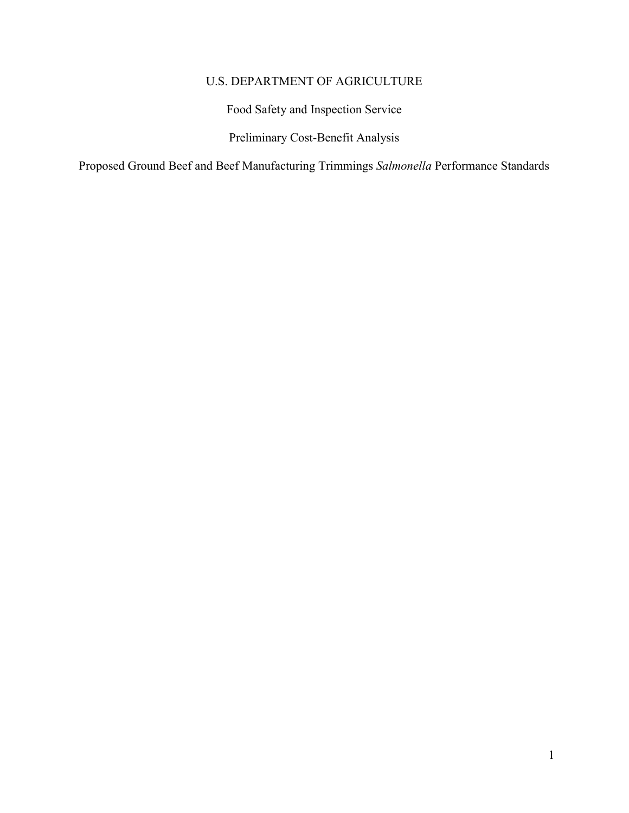## U.S. DEPARTMENT OF AGRICULTURE

Food Safety and Inspection Service

Preliminary Cost-Benefit Analysis

Proposed Ground Beef and Beef Manufacturing Trimmings *Salmonella* Performance Standards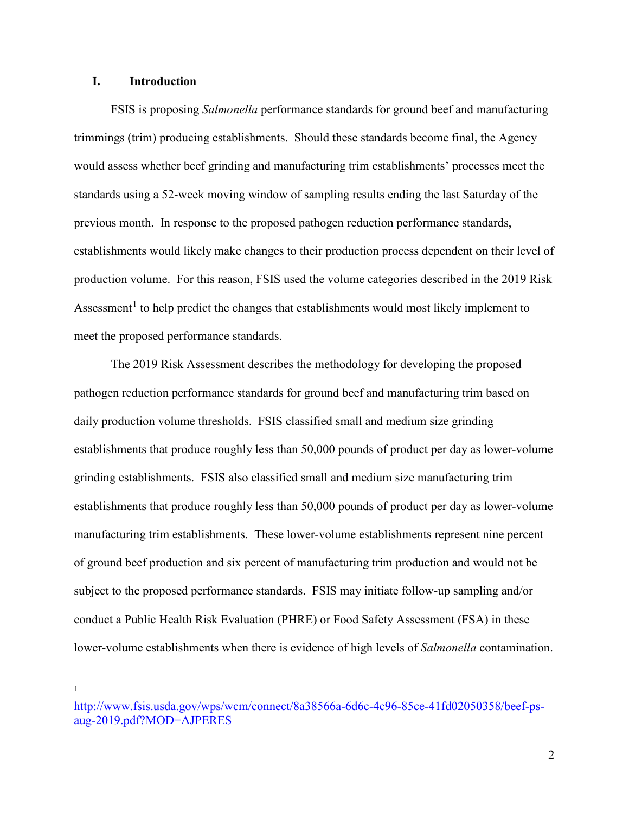## **I. Introduction**

 FSIS is proposing *Salmonella* performance standards for ground beef and manufacturing trimmings (trim) producing establishments. Should these standards become final, the Agency standards using a 52-week moving window of sampling results ending the last Saturday of the production volume. For this reason, FSIS used the volume categories described in the 2019 Risk Assessment<sup>[1](#page-1-0)</sup> to help predict the changes that establishments would most likely implement to would assess whether beef grinding and manufacturing trim establishments' processes meet the previous month. In response to the proposed pathogen reduction performance standards, establishments would likely make changes to their production process dependent on their level of meet the proposed performance standards.

 The 2019 Risk Assessment describes the methodology for developing the proposed establishments that produce roughly less than 50,000 pounds of product per day as lower-volume grinding establishments. FSIS also classified small and medium size manufacturing trim establishments that produce roughly less than 50,000 pounds of product per day as lower-volume of ground beef production and six percent of manufacturing trim production and would not be conduct a Public Health Risk Evaluation (PHRE) or Food Safety Assessment (FSA) in these lower-volume establishments when there is evidence of high levels of *Salmonella* contamination. pathogen reduction performance standards for ground beef and manufacturing trim based on daily production volume thresholds. FSIS classified small and medium size grinding manufacturing trim establishments. These lower-volume establishments represent nine percent subject to the proposed performance standards. FSIS may initiate follow-up sampling and/or

<span id="page-1-0"></span>[http://www.fsis.usda.gov/wps/wcm/connect/8a38566a-6d6c-4c96-85ce-41fd02050358/beef-ps](https://gcc02.safelinks.protection.outlook.com/?url=http%3A%2F%2Fwww.fsis.usda.gov%2Fwps%2Fwcm%2Fconnect%2F8a38566a-6d6c-4c96-85ce-41fd02050358%2Fbeef-ps-aug-2019.pdf%3FMOD%3DAJPERES&data=02%7C01%7C%7Cbdd1ac9957144f7df75608d7360e259f%7Ced5b36e701ee4ebc867ee03cfa0d4697%7C0%7C0%7C637037306702320612&sdata=fTVWo2jk6P26RuvEY9DMjAq0aqlxoiTjugHCDxi4%2FhM%3D&reserved=0)[aug-2019.pdf?MOD=AJPERES](https://gcc02.safelinks.protection.outlook.com/?url=http%3A%2F%2Fwww.fsis.usda.gov%2Fwps%2Fwcm%2Fconnect%2F8a38566a-6d6c-4c96-85ce-41fd02050358%2Fbeef-ps-aug-2019.pdf%3FMOD%3DAJPERES&data=02%7C01%7C%7Cbdd1ac9957144f7df75608d7360e259f%7Ced5b36e701ee4ebc867ee03cfa0d4697%7C0%7C0%7C637037306702320612&sdata=fTVWo2jk6P26RuvEY9DMjAq0aqlxoiTjugHCDxi4%2FhM%3D&reserved=0)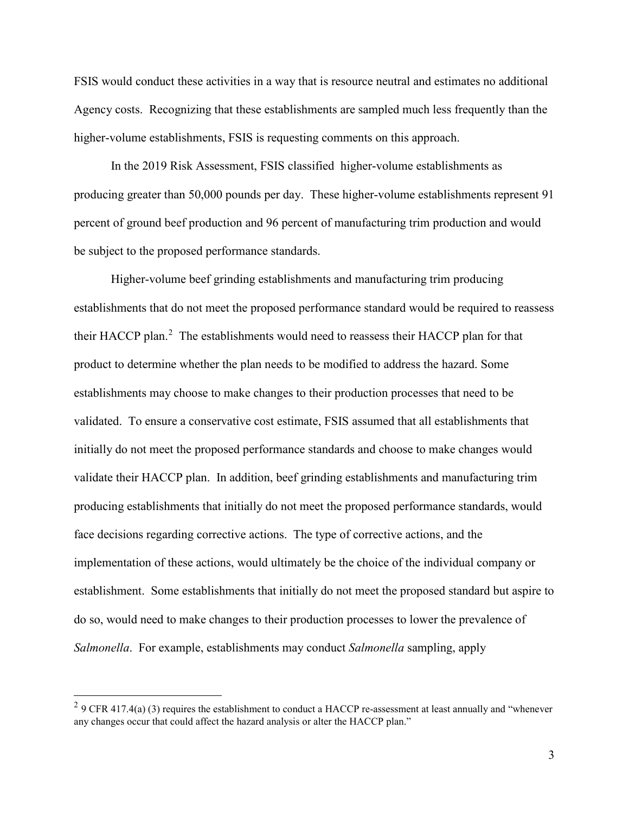FSIS would conduct these activities in a way that is resource neutral and estimates no additional Agency costs. Recognizing that these establishments are sampled much less frequently than the higher-volume establishments, FSIS is requesting comments on this approach.

 producing greater than 50,000 pounds per day. These higher-volume establishments represent 91 be subject to the proposed performance standards. In the 2019 Risk Assessment, FSIS classified higher-volume establishments as percent of ground beef production and 96 percent of manufacturing trim production and would

 Higher-volume beef grinding establishments and manufacturing trim producing establishments that do not meet the proposed performance standard would be required to reassess their HACCP plan.<sup>[2](#page-2-0)</sup> The establishments would need to reassess their HACCP plan for that initially do not meet the proposed performance standards and choose to make changes would producing establishments that initially do not meet the proposed performance standards, would face decisions regarding corrective actions. The type of corrective actions, and the implementation of these actions, would ultimately be the choice of the individual company or establishment. Some establishments that initially do not meet the proposed standard but aspire to product to determine whether the plan needs to be modified to address the hazard. Some establishments may choose to make changes to their production processes that need to be validated. To ensure a conservative cost estimate, FSIS assumed that all establishments that validate their HACCP plan. In addition, beef grinding establishments and manufacturing trim do so, would need to make changes to their production processes to lower the prevalence of *Salmonella*. For example, establishments may conduct *Salmonella* sampling, apply

<u>.</u>

<span id="page-2-0"></span><sup>&</sup>lt;sup>2</sup> 9 CFR 417.4(a) (3) requires the establishment to conduct a HACCP re-assessment at least annually and "whenever" any changes occur that could affect the hazard analysis or alter the HACCP plan." 3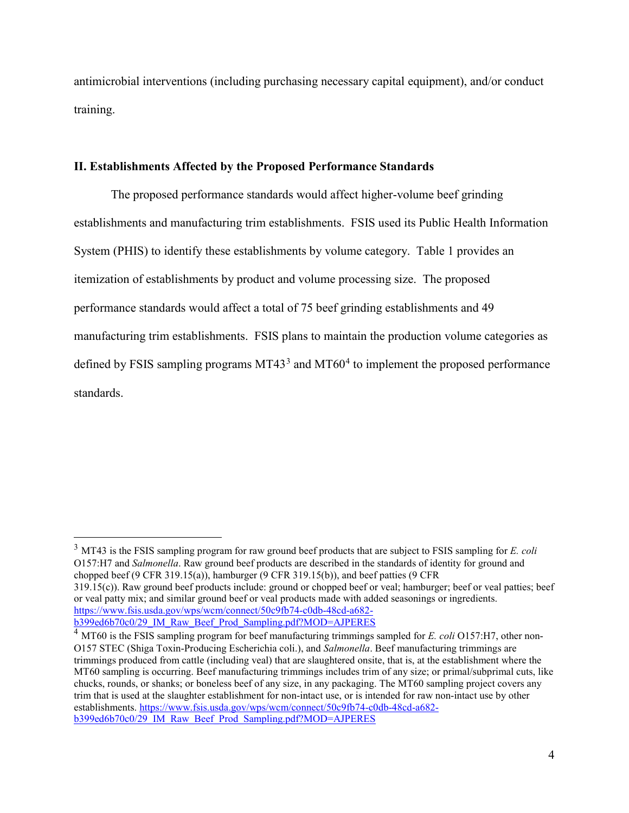antimicrobial interventions (including purchasing necessary capital equipment), and/or conduct training.

#### **II. Establishments Affected by the Proposed Performance Standards**

 establishments and manufacturing trim establishments. FSIS used its Public Health Information System (PHIS) to identify these establishments by volume category. Table 1 provides an itemization of establishments by product and volume processing size. The proposed manufacturing trim establishments. FSIS plans to maintain the production volume categories as defined by FSIS sampling programs MT43<sup>3</sup> and MT60<sup>4</sup> to implement the proposed performance The proposed performance standards would affect higher-volume beef grinding performance standards would affect a total of 75 beef grinding establishments and 49 standards.

<span id="page-3-0"></span> 3 MT43 is the FSIS sampling program for raw ground beef products that are subject to FSIS sampling for *E. coli*  chopped beef (9 CFR 319.15(a)), hamburger (9 CFR 319.15(b)), and beef patties (9 CFR 319.15(c)). Raw ground beef products include: ground or chopped beef or veal; hamburger; beef or veal patties; beef [b399ed6b70c0/29\\_IM\\_Raw\\_Beef\\_Prod\\_Sampling.pdf?MOD=AJPERES](https://www.fsis.usda.gov/wps/wcm/connect/50c9fb74-c0db-48cd-a682-b399ed6b70c0/29_IM_Raw_Beef_Prod_Sampling.pdf?MOD=AJPERES) O157:H7 and *Salmonella*. Raw ground beef products are described in the standards of identity for ground and or veal patty mix; and similar ground beef or veal products made with added seasonings or ingredients. [https://www.fsis.usda.gov/wps/wcm/connect/50c9fb74-c0db-48cd-a682-](https://www.fsis.usda.gov/wps/wcm/connect/50c9fb74-c0db-48cd-a682-b399ed6b70c0/29_IM_Raw_Beef_Prod_Sampling.pdf?MOD=AJPERES)

<span id="page-3-1"></span> 4 MT60 is the FSIS sampling program for beef manufacturing trimmings sampled for *E. coli* O157:H7, other non- trim that is used at the slaughter establishment for non-intact use, or is intended for raw non-intact use by other [b399ed6b70c0/29\\_IM\\_Raw\\_Beef\\_Prod\\_Sampling.pdf?MOD=AJPERES](https://www.fsis.usda.gov/wps/wcm/connect/50c9fb74-c0db-48cd-a682-b399ed6b70c0/29_IM_Raw_Beef_Prod_Sampling.pdf?MOD=AJPERES) 44 O157 STEC (Shiga Toxin-Producing Escherichia coli.), and *Salmonella*. Beef manufacturing trimmings are trimmings produced from cattle (including veal) that are slaughtered onsite, that is, at the establishment where the MT60 sampling is occurring. Beef manufacturing trimmings includes trim of any size; or primal/subprimal cuts, like chucks, rounds, or shanks; or boneless beef of any size, in any packaging. The MT60 sampling project covers any establishments. [https://www.fsis.usda.gov/wps/wcm/connect/50c9fb74-c0db-48cd-a682-](https://www.fsis.usda.gov/wps/wcm/connect/50c9fb74-c0db-48cd-a682-b399ed6b70c0/29_IM_Raw_Beef_Prod_Sampling.pdf?MOD=AJPERES)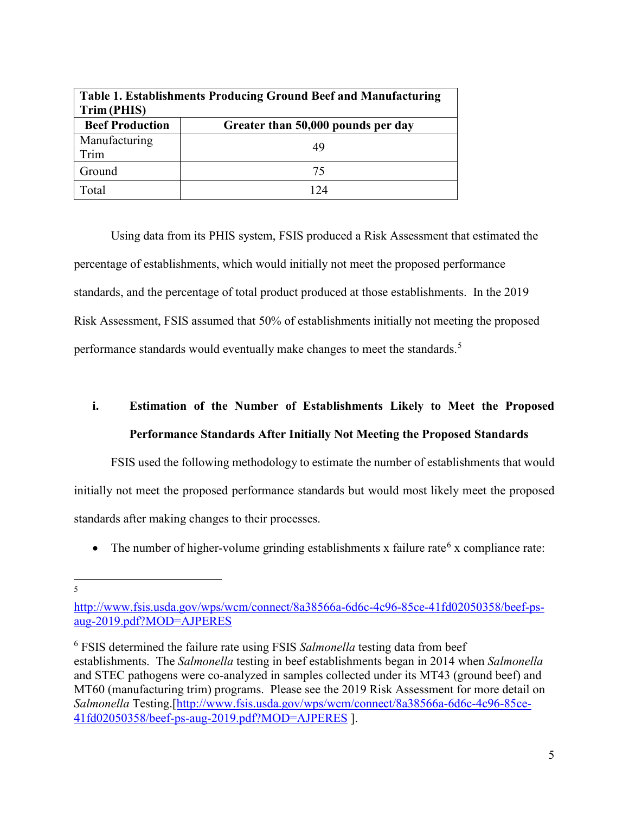| Table 1. Establishments Producing Ground Beef and Manufacturing<br>Trim (PHIS) |                                    |  |  |  |
|--------------------------------------------------------------------------------|------------------------------------|--|--|--|
| <b>Beef Production</b>                                                         | Greater than 50,000 pounds per day |  |  |  |
| Manufacturing<br>Trim                                                          | 49                                 |  |  |  |
| Ground                                                                         | 75                                 |  |  |  |
| Total                                                                          | 74                                 |  |  |  |

 Using data from its PHIS system, FSIS produced a Risk Assessment that estimated the percentage of establishments, which would initially not meet the proposed performance standards, and the percentage of total product produced at those establishments. In the 2019 performance standards would eventually make changes to meet the standards.<sup>5</sup> Risk Assessment, FSIS assumed that 50% of establishments initially not meeting the proposed

# **Performance Standards After Initially Not Meeting the Proposed Standards i. Estimation of the Number of Establishments Likely to Meet the Proposed**

 standards after making changes to their processes. FSIS used the following methodology to estimate the number of establishments that would initially not meet the proposed performance standards but would most likely meet the proposed

• The number of higher-volume grinding establishments x failure rate<sup>6</sup> x compliance rate:

<span id="page-4-0"></span><u>.</u> 5

http://www.fsis.usda.gov/wps/wcm/connect/8a385[6](#page-4-1)6a-6d6c-4c96-85ce-41fd02050358/beef-ps[aug-2019.pdf?MOD=AJPERES](https://gcc02.safelinks.protection.outlook.com/?url=http%3A%2F%2Fwww.fsis.usda.gov%2Fwps%2Fwcm%2Fconnect%2F8a38566a-6d6c-4c96-85ce-41fd02050358%2Fbeef-ps-aug-2019.pdf%3FMOD%3DAJPERES&data=02%7C01%7C%7Cbdd1ac9957144f7df75608d7360e259f%7Ced5b36e701ee4ebc867ee03cfa0d4697%7C0%7C0%7C637037306702320612&sdata=fTVWo2jk6P26RuvEY9DMjAq0aqlxoiTjugHCDxi4%2FhM%3D&reserved=0) 

<span id="page-4-1"></span> 6 FSIS determined the failure rate using FSIS *Salmonella* testing data from beef establishments. The *Salmonella* testing in beef establishments began in 2014 when *Salmonella*  MT60 (manufacturing trim) programs. Please see the 2019 Risk Assessment for more detail on [41fd02050358/beef-ps-aug-2019.pdf?MOD=AJPERES](https://gcc02.safelinks.protection.outlook.com/?url=http%3A%2F%2Fwww.fsis.usda.gov%2Fwps%2Fwcm%2Fconnect%2F8a38566a-6d6c-4c96-85ce-41fd02050358%2Fbeef-ps-aug-2019.pdf%3FMOD%3DAJPERES&data=02%7C01%7C%7Cbdd1ac9957144f7df75608d7360e259f%7Ced5b36e701ee4ebc867ee03cfa0d4697%7C0%7C0%7C637037306702320612&sdata=fTVWo2jk6P26RuvEY9DMjAq0aqlxoiTjugHCDxi4%2FhM%3D&reserved=0) ]. and STEC pathogens were co-analyzed in samples collected under its MT43 (ground beef) and *Salmonella* Testing.[\[http://www.fsis.usda.gov/wps/wcm/connect/8a38566a-6d6c-4c96-85ce-](https://gcc02.safelinks.protection.outlook.com/?url=http%3A%2F%2Fwww.fsis.usda.gov%2Fwps%2Fwcm%2Fconnect%2F8a38566a-6d6c-4c96-85ce-41fd02050358%2Fbeef-ps-aug-2019.pdf%3FMOD%3DAJPERES&data=02%7C01%7C%7Cbdd1ac9957144f7df75608d7360e259f%7Ced5b36e701ee4ebc867ee03cfa0d4697%7C0%7C0%7C637037306702320612&sdata=fTVWo2jk6P26RuvEY9DMjAq0aqlxoiTjugHCDxi4%2FhM%3D&reserved=0)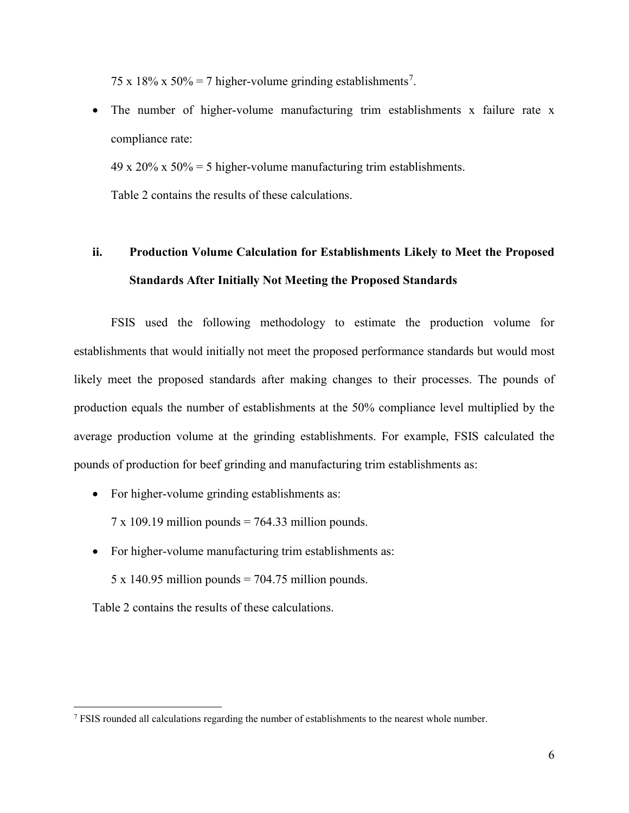[7](#page-5-0)5 x 18% x 50% = 7 higher-volume grinding establishments<sup>7</sup>.

• The number of higher-volume manufacturing trim establishments x failure rate x compliance rate:

49 x 20% x 50% = 5 higher-volume manufacturing trim establishments.

Table 2 contains the results of these calculations.

## **ii. Production Volume Calculation for Establishments Likely to Meet the Proposed Standards After Initially Not Meeting the Proposed Standards**

 likely meet the proposed standards after making changes to their processes. The pounds of production equals the number of establishments at the 50% compliance level multiplied by the FSIS used the following methodology to estimate the production volume for establishments that would initially not meet the proposed performance standards but would most average production volume at the grinding establishments. For example, FSIS calculated the pounds of production for beef grinding and manufacturing trim establishments as:

• For higher-volume grinding establishments as:

 $7 \times 109.19$  million pounds = 764.33 million pounds.

• For higher-volume manufacturing trim establishments as:

 $5 \times 140.95$  million pounds = 704.75 million pounds.

Table 2 contains the results of these calculations.

<span id="page-5-0"></span> $<sup>7</sup>$  FSIS rounded all calculations regarding the number of establishments to the nearest whole number.</sup>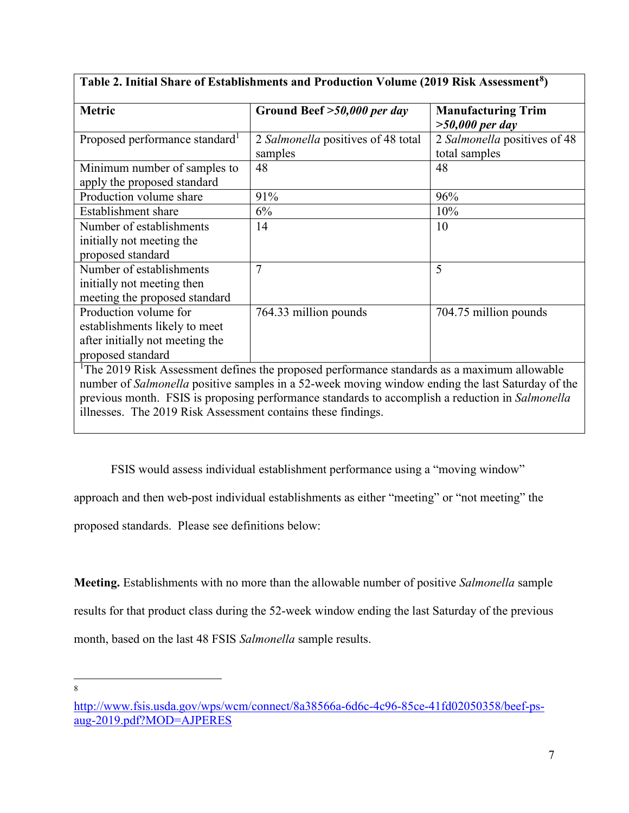| <b>Metric</b>                                                | Ground Beef >50,000 per day                                                                             | <b>Manufacturing Trim</b>    |
|--------------------------------------------------------------|---------------------------------------------------------------------------------------------------------|------------------------------|
|                                                              |                                                                                                         | $>50,000$ per day            |
| Proposed performance standard <sup>1</sup>                   | 2 Salmonella positives of 48 total                                                                      | 2 Salmonella positives of 48 |
|                                                              | samples                                                                                                 | total samples                |
| Minimum number of samples to                                 | 48                                                                                                      | 48                           |
| apply the proposed standard                                  |                                                                                                         |                              |
| Production volume share                                      | 91%                                                                                                     | 96%                          |
| Establishment share                                          | 6%                                                                                                      | 10%                          |
| Number of establishments                                     | 14                                                                                                      | 10                           |
| initially not meeting the                                    |                                                                                                         |                              |
| proposed standard                                            |                                                                                                         |                              |
| Number of establishments                                     | 7                                                                                                       | 5                            |
| initially not meeting then                                   |                                                                                                         |                              |
| meeting the proposed standard                                |                                                                                                         |                              |
| Production volume for                                        | 764.33 million pounds                                                                                   | 704.75 million pounds        |
| establishments likely to meet                                |                                                                                                         |                              |
| after initially not meeting the                              |                                                                                                         |                              |
| proposed standard                                            |                                                                                                         |                              |
|                                                              | <sup>1</sup> The 2019 Risk Assessment defines the proposed performance standards as a maximum allowable |                              |
|                                                              | number of Salmonella positive samples in a 52-week moving window ending the last Saturday of the        |                              |
|                                                              | previous month. FSIS is proposing performance standards to accomplish a reduction in Salmonella         |                              |
| illnesses. The 2019 Risk Assessment contains these findings. |                                                                                                         |                              |

## **Table 2. Initial Share of Establishments and Production Volume (2019 Risk Assessment[8\)](#page-6-0)**

FSIS would assess individual establishment performance using a "moving window"

approach and then web-post individual establishments as either "meeting" or "not meeting" the

proposed standards. Please see definitions below:

 **Meeting.** Establishments with no more than the allowable number of positive *Salmonella* sample month, based on the last 48 FSIS *Salmonella* sample results. results for that product class during the 52-week window ending the last Saturday of the previous

<span id="page-6-0"></span>[http://www.fsis.usda.gov/wps/wcm/connect/8a38566a-6d6c-4c96-85ce-41fd02050358/beef-ps](https://gcc02.safelinks.protection.outlook.com/?url=http%3A%2F%2Fwww.fsis.usda.gov%2Fwps%2Fwcm%2Fconnect%2F8a38566a-6d6c-4c96-85ce-41fd02050358%2Fbeef-ps-aug-2019.pdf%3FMOD%3DAJPERES&data=02%7C01%7C%7Cbdd1ac9957144f7df75608d7360e259f%7Ced5b36e701ee4ebc867ee03cfa0d4697%7C0%7C0%7C637037306702320612&sdata=fTVWo2jk6P26RuvEY9DMjAq0aqlxoiTjugHCDxi4%2FhM%3D&reserved=0)[aug-2019.pdf?MOD=AJPERES](https://gcc02.safelinks.protection.outlook.com/?url=http%3A%2F%2Fwww.fsis.usda.gov%2Fwps%2Fwcm%2Fconnect%2F8a38566a-6d6c-4c96-85ce-41fd02050358%2Fbeef-ps-aug-2019.pdf%3FMOD%3DAJPERES&data=02%7C01%7C%7Cbdd1ac9957144f7df75608d7360e259f%7Ced5b36e701ee4ebc867ee03cfa0d4697%7C0%7C0%7C637037306702320612&sdata=fTVWo2jk6P26RuvEY9DMjAq0aqlxoiTjugHCDxi4%2FhM%3D&reserved=0)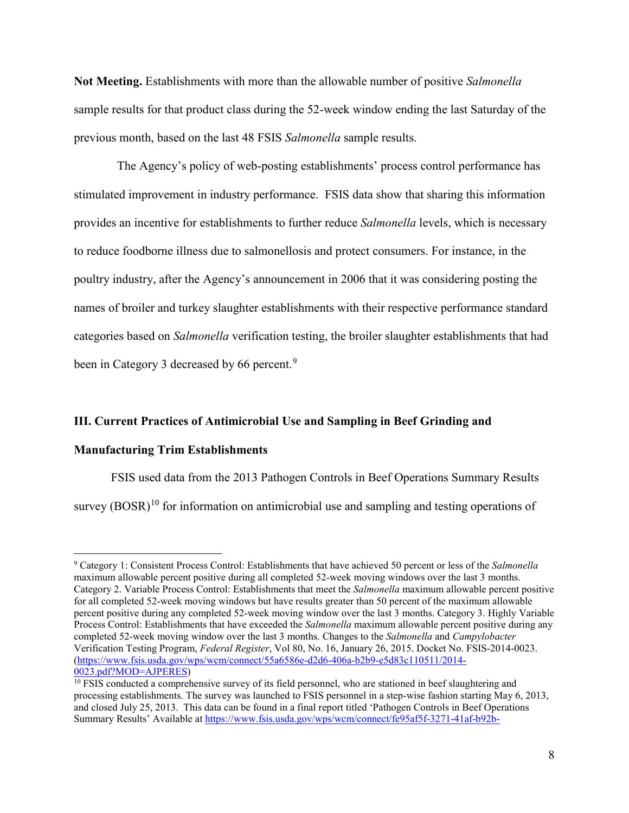**Not Meeting.** Establishments with more than the allowable number of positive *Salmonella*  previous month, based on the last 48 FSIS *Salmonella* sample results. sample results for that product class during the 52-week window ending the last Saturday of the

 provides an incentive for establishments to further reduce *Salmonella* levels, which is necessary names of broiler and turkey slaughter establishments with their respective performance standard categories based on *Salmonella* verification testing, the broiler slaughter establishments that had been in Category 3 decreased by 66 percent.<sup>[9](#page-7-0)</sup> The Agency's policy of web-posting establishments' process control performance has stimulated improvement in industry performance. FSIS data show that sharing this information to reduce foodborne illness due to salmonellosis and protect consumers. For instance, in the poultry industry, after the Agency's announcement in 2006 that it was considering posting the

### **III. Current Practices of Antimicrobial Use and Sampling in Beef Grinding and**

#### **Manufacturing Trim Establishments**

<u>.</u>

survey  $(BOSR)^{10}$  $(BOSR)^{10}$  $(BOSR)^{10}$  for information on antimicrobial use and sampling and testing operations of FSIS used data from the 2013 Pathogen Controls in Beef Operations Summary Results

<span id="page-7-0"></span> maximum allowable percent positive during all completed 52-week moving windows over the last 3 months. percent positive during any completed 52-week moving window over the last 3 months. Category 3. Highly Variable completed 52-week moving window over the last 3 months. Changes to the *Salmonella* and *Campylobacter*  Verification Testing Program, *Federal Register*, Vol 80, No. 16, January 26, 2015. Docket No. FSIS-2014-0023. 0023.pdf?MOD=AJPERES) 9 Category 1: Consistent Process Control: Establishments that have achieved 50 percent or less of the *Salmonella*  Category 2. Variable Process Control: Establishments that meet the *Salmonella* maximum allowable percent positive for all completed 52-week moving windows but have results greater than 50 percent of the maximum allowable Process Control: Establishments that have exceeded the *Salmonella* maximum allowable percent positive during any [\(https://www.fsis.usda.gov/wps/wcm/connect/55a6586e-d2d6-406a-b2b9-e5d83c110511/2014-](https://www.fsis.usda.gov/wps/wcm/connect/55a6586e-d2d6-406a-b2b9-e5d83c110511/2014-0023.pdf?MOD=AJPERES)

<span id="page-7-1"></span> processing establishments. The survey was launched to FSIS personnel in a step-wise fashion starting May 6, 2013, and closed July 25, 2013. This data can be found in a final report titled 'Pathogen Controls in Beef Operations  $10$  FSIS conducted a comprehensive survey of its field personnel, who are stationed in beef slaughtering and Summary Results' Available at <https://www.fsis.usda.gov/wps/wcm/connect/fe95af5f-3271-41af-b92b>-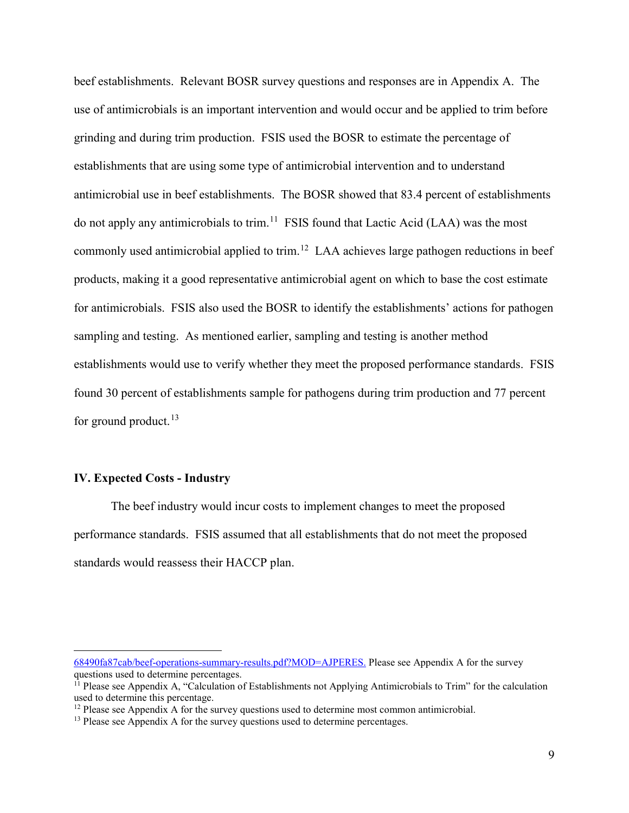beef establishments. Relevant BOSR survey questions and responses are in Appendix A. The do not apply any antimicrobials to trim.<sup>11</sup> FSIS found that Lactic Acid (LAA) was the most commonly used antimicrobial applied to trim.<sup>12</sup> LAA achieves large pathogen reductions in beef for antimicrobials. FSIS also used the BOSR to identify the establishments' actions for pathogen sampling and testing. As mentioned earlier, sampling and testing is another method establishments would use to verify whether they meet the proposed performance standards. FSIS found 30 percent of establishments sample for pathogens during trim production and 77 percent use of antimicrobials is an important intervention and would occur and be applied to trim before grinding and during trim production. FSIS used the BOSR to estimate the percentage of establishments that are using some type of antimicrobial intervention and to understand antimicrobial use in beef establishments. The BOSR showed that 83.4 percent of establishments products, making it a good representative antimicrobial agent on which to base the cost estimate for ground product.<sup>[13](#page-8-2)</sup>

### **IV. Expected Costs - Industry**

<u>.</u>

 The beef industry would incur costs to implement changes to meet the proposed performance standards. FSIS assumed that all establishments that do not meet the proposed standards would reassess their HACCP plan.

<sup>68490</sup>fa87cab/beef-operations-summary-results.pdf?MOD=AJPERES. Please see Appendix A for the survey questions used to determine percentages.<br><sup>11</sup> Please see Appendix A, "Calculation of Establishments not Applying Antimicrobials to Trim" for the calculation

<span id="page-8-0"></span>used to determine this percentage.

<span id="page-8-1"></span><sup>&</sup>lt;sup>12</sup> Please see Appendix A for the survey questions used to determine most common antimicrobial. <sup>13</sup> Please see Appendix A for the survey questions used to determine percentages.

<span id="page-8-2"></span>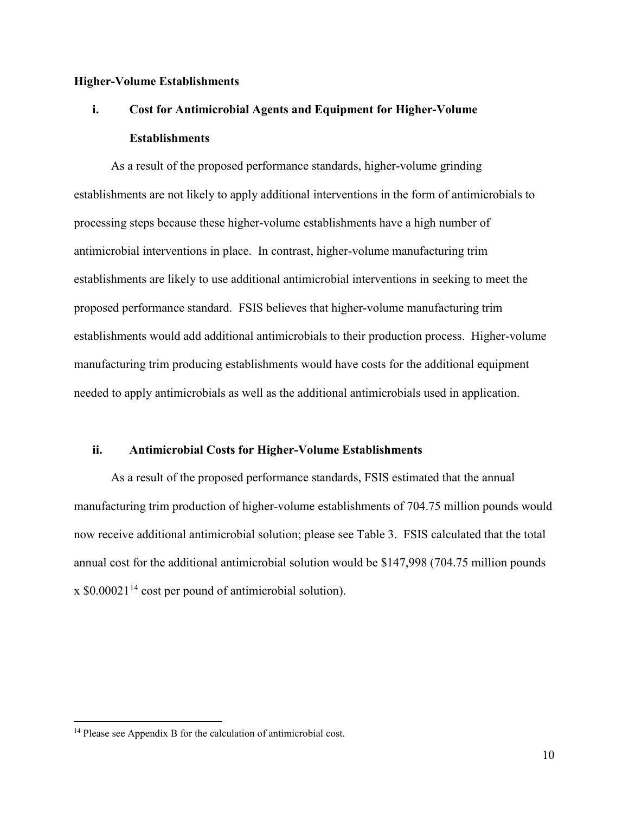### **Higher-Volume Establishments**

## **i.** Cost for Antimicrobial Agents and Equipment for Higher-Volume **Establishments**

 establishments are not likely to apply additional interventions in the form of antimicrobials to antimicrobial interventions in place. In contrast, higher-volume manufacturing trim establishments are likely to use additional antimicrobial interventions in seeking to meet the proposed performance standard. FSIS believes that higher-volume manufacturing trim As a result of the proposed performance standards, higher-volume grinding processing steps because these higher-volume establishments have a high number of establishments would add additional antimicrobials to their production process. Higher-volume manufacturing trim producing establishments would have costs for the additional equipment needed to apply antimicrobials as well as the additional antimicrobials used in application.

#### **ii. Antimicrobial Costs for Higher-Volume Establishments**

 As a result of the proposed performance standards, FSIS estimated that the annual manufacturing trim production of higher-volume establishments of 704.75 million pounds would now receive additional antimicrobial solution; please see Table 3. FSIS calculated that the total annual cost for the additional antimicrobial solution would be \$147,998 (704.75 million pounds  $x $0.00021<sup>14</sup>$  cost per pound of antimicrobial solution).

<span id="page-9-0"></span><sup>&</sup>lt;sup>14</sup> Please see Appendix B for the calculation of antimicrobial cost.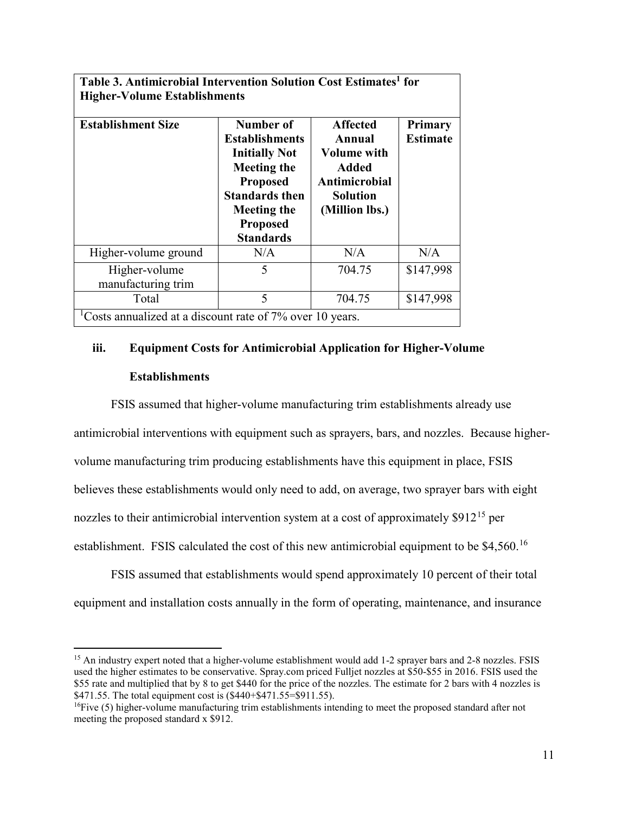| Table 3. Antimicrobial Intervention Solution Cost Estimates <sup>1</sup> for |                                                                                                                                                                                           |                                                                                                                       |                                   |  |  |  |  |
|------------------------------------------------------------------------------|-------------------------------------------------------------------------------------------------------------------------------------------------------------------------------------------|-----------------------------------------------------------------------------------------------------------------------|-----------------------------------|--|--|--|--|
| <b>Higher-Volume Establishments</b>                                          |                                                                                                                                                                                           |                                                                                                                       |                                   |  |  |  |  |
| <b>Establishment Size</b>                                                    | Number of<br><b>Establishments</b><br><b>Initially Not</b><br><b>Meeting the</b><br><b>Proposed</b><br><b>Standards then</b><br><b>Meeting the</b><br><b>Proposed</b><br><b>Standards</b> | <b>Affected</b><br>Annual<br><b>Volume with</b><br><b>Added</b><br>Antimicrobial<br><b>Solution</b><br>(Million lbs.) | <b>Primary</b><br><b>Estimate</b> |  |  |  |  |
| Higher-volume ground                                                         | N/A                                                                                                                                                                                       | N/A                                                                                                                   | N/A                               |  |  |  |  |
| Higher-volume<br>manufacturing trim                                          | 5                                                                                                                                                                                         | 704.75                                                                                                                | \$147,998                         |  |  |  |  |
| Total                                                                        | 5                                                                                                                                                                                         | 704.75                                                                                                                | \$147,998                         |  |  |  |  |
| Costs annualized at a discount rate of 7% over 10 years.                     |                                                                                                                                                                                           |                                                                                                                       |                                   |  |  |  |  |

## **iii. Equipment Costs for Antimicrobial Application for Higher-Volume Establishments**

 believes these establishments would only need to add, on average, two sprayer bars with eight establishment. FSIS calculated the cost of this new antimicrobial equipment to be  $$4,560$ .<sup>16</sup> FSIS assumed that higher-volume manufacturing trim establishments already use antimicrobial interventions with equipment such as sprayers, bars, and nozzles. Because highervolume manufacturing trim producing establishments have this equipment in place, FSIS nozzles to their antimicrobial intervention system at a cost of approximately  $$912^{15}$  per

 FSIS assumed that establishments would spend approximately 10 percent of their total equipment and installation costs annually in the form of operating, maintenance, and insurance

<u>.</u>

<span id="page-10-0"></span><sup>&</sup>lt;sup>15</sup> An industry expert noted that a higher-volume establishment would add 1-2 sprayer bars and 2-8 nozzles. FSIS used the higher estimates to be conservative. [Spray.com](https://Spray.com) priced Fulljet nozzles at \$50-\$55 in 2016. FSIS used the \$55 rate and multiplied that by 8 to get \$440 for the price of the nozzles. The estimate for 2 bars with 4 nozzles is \$471.55. The total equipment cost is (\$440+\$471.55=\$911.55).

<span id="page-10-1"></span><sup>&</sup>lt;sup>16</sup>Five (5) higher-volume manufacturing trim establishments intending to meet the proposed standard after not meeting the proposed standard x \$912.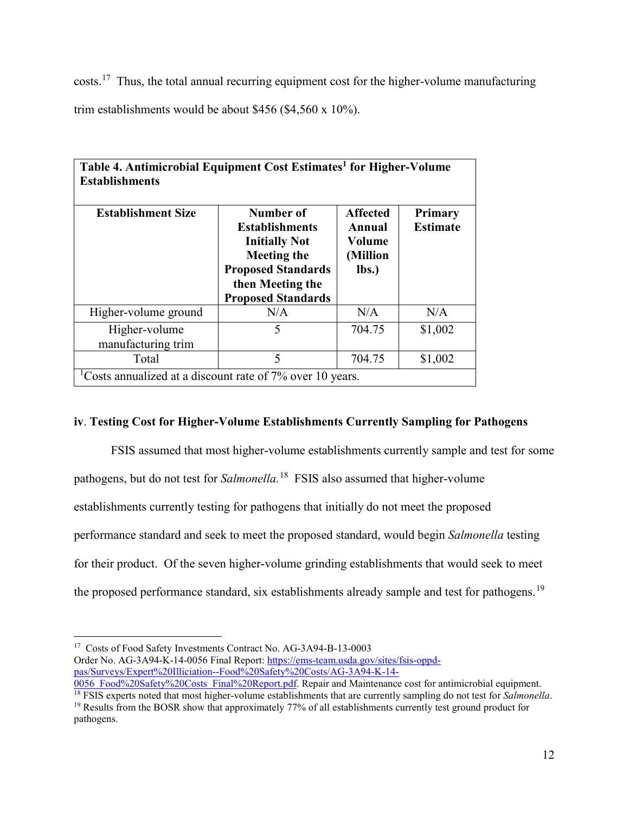costs.<sup>17</sup> Thus, the total annual recurring equipment cost for the higher-volume manufacturing trim establishments would be about \$456 (\$4,560 x 10%).

| Table 4. Antimicrobial Equipment Cost Estimates <sup>1</sup> for Higher-Volume<br><b>Establishments</b> |                                                                                                                                                                |                                                          |                                   |
|---------------------------------------------------------------------------------------------------------|----------------------------------------------------------------------------------------------------------------------------------------------------------------|----------------------------------------------------------|-----------------------------------|
| <b>Establishment Size</b>                                                                               | Number of<br><b>Establishments</b><br><b>Initially Not</b><br><b>Meeting the</b><br><b>Proposed Standards</b><br>then Meeting the<br><b>Proposed Standards</b> | <b>Affected</b><br>Annual<br>Volume<br>(Million<br>lbs.) | <b>Primary</b><br><b>Estimate</b> |
| Higher-volume ground                                                                                    | N/A                                                                                                                                                            | N/A                                                      | N/A                               |
| Higher-volume<br>manufacturing trim                                                                     | 5                                                                                                                                                              | 704.75                                                   | \$1,002                           |
| Total                                                                                                   | 5                                                                                                                                                              | 704.75                                                   | \$1,002                           |
| Costs annualized at a discount rate of 7% over 10 years.                                                |                                                                                                                                                                |                                                          |                                   |

## **iv**. **Testing Cost for Higher-Volume Establishments Currently Sampling for Pathogens**

 FSIS assumed that most higher-volume establishments currently sample and test for some pathogens, but do not test for *Salmonella.*[18](#page-11-1) FSIS also assumed that higher-volume establishments currently testing for pathogens that initially do not meet the proposed performance standard and seek to meet the proposed standard, would begin *Salmonella* testing for their product. Of the seven higher-volume grinding establishments that would seek to meet the proposed performance standard, six establishments already sample and test for pathogens.<sup>[19](#page-11-2)</sup>

<span id="page-11-0"></span> $\overline{a}$ <sup>17</sup> Costs of Food Safety Investments Contract No. AG-3A94-B-13-0003 Order No. AG-3A94-K-14-0056 Final Report: [https://ems-team.usda.gov/sites/fsis-oppd](https://ems-team.usda.gov/sites/fsis-oppd-pas/Surveys/Expert%20Illiciation--Food%20Safety%20Costs/AG-3A94-K-14-0056_Food%20Safety%20Costs_Final%20Report.pdf)[pas/Surveys/Expert%20Illiciation--Food%20Safety%20Costs/AG-3A94-K-14-](https://ems-team.usda.gov/sites/fsis-oppd-pas/Surveys/Expert%20Illiciation--Food%20Safety%20Costs/AG-3A94-K-14-0056_Food%20Safety%20Costs_Final%20Report.pdf)<br>0056 Food%20Safety%20Costs Final%20Report.pdf. Repair and Maintenance cost for antimicrobial equipment.

<span id="page-11-2"></span><span id="page-11-1"></span> $\frac{18}{18}$  FSIS experts noted that most higher-volume establishments that are currently sampling do not test for *Salmonella*.<br><sup>19</sup> Results from the BOSR show that approximately 77% of all establishments currently test g pathogens.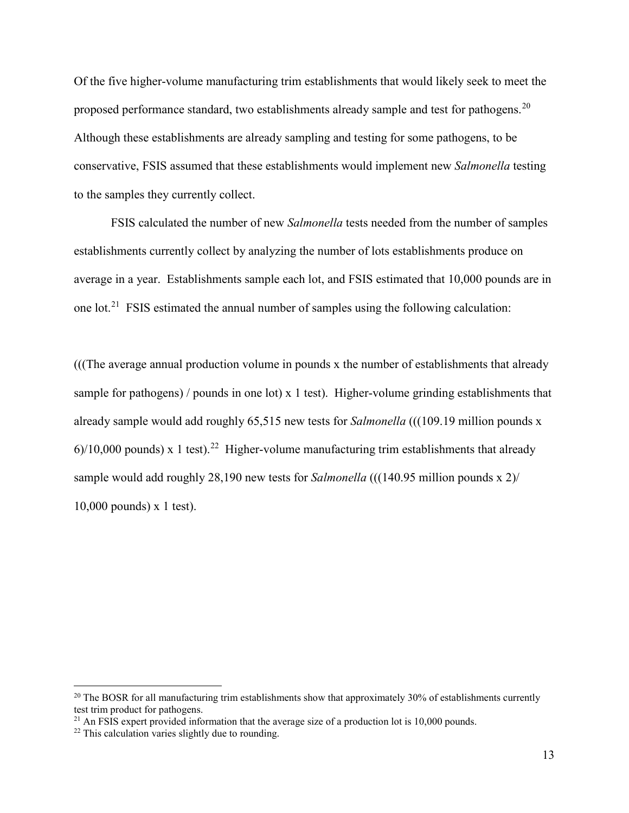Although these establishments are already sampling and testing for some pathogens, to be conservative, FSIS assumed that these establishments would implement new *Salmonella* testing to the samples they currently collect. to the samples they currently collect. FSIS calculated the number of new *Salmonella* tests needed from the number of samples Of the five higher-volume manufacturing trim establishments that would likely seek to meet the proposed performance standard, two establishments already sample and test for pathogens.<sup>20</sup>

one lot.<sup>21</sup> FSIS estimated the annual number of samples using the following calculation: establishments currently collect by analyzing the number of lots establishments produce on average in a year. Establishments sample each lot, and FSIS estimated that 10,000 pounds are in

 (((The average annual production volume in pounds x the number of establishments that already sample for pathogens) / pounds in one lot) x 1 test). Higher-volume grinding establishments that already sample would add roughly 65,515 new tests for *Salmonella* (((109.19 million pounds x  $6$ /10,000 pounds) x 1 test).<sup>[22](#page-12-2)</sup> Higher-volume manufacturing trim establishments that already sample would add roughly 28,190 new tests for *Salmonella* (((140.95 million pounds x 2)/ 10,000 pounds) x 1 test).

<span id="page-12-0"></span><sup>&</sup>lt;sup>20</sup> The BOSR for all manufacturing trim establishments show that approximately 30% of establishments currently test trim product for pathogens. test trim product for pathogens.<br><sup>21</sup> An FSIS expert provided information that the average size of a production lot is 10,000 pounds.<br><sup>22</sup> This calculation varies slightly due to rounding.

<span id="page-12-1"></span>

<span id="page-12-2"></span>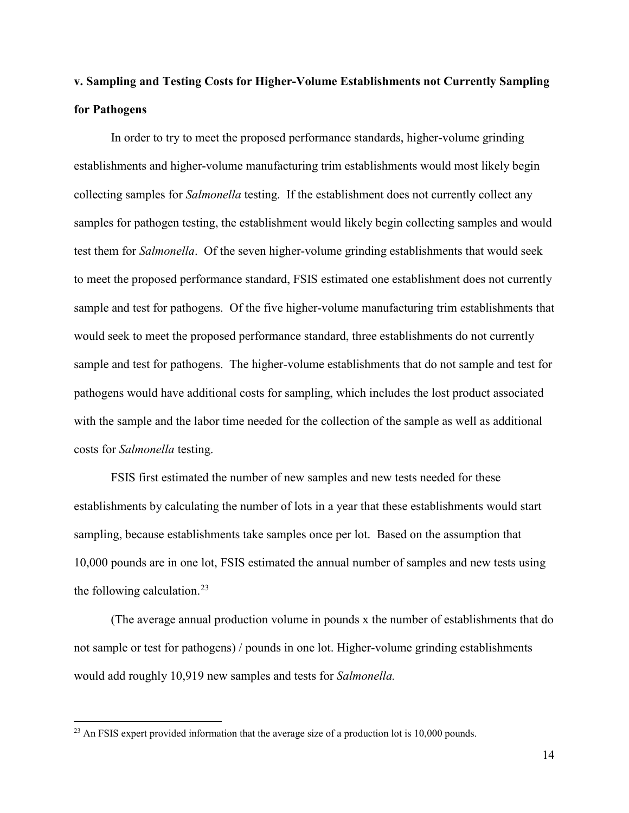## **v. Sampling and Testing Costs for Higher-Volume Establishments not Currently Sampling for Pathogens**

 collecting samples for *Salmonella* testing. If the establishment does not currently collect any samples for pathogen testing, the establishment would likely begin collecting samples and would sample and test for pathogens. Of the five higher-volume manufacturing trim establishments that sample and test for pathogens. The higher-volume establishments that do not sample and test for costs for *Salmonella* testing. In order to try to meet the proposed performance standards, higher-volume grinding establishments and higher-volume manufacturing trim establishments would most likely begin test them for *Salmonella*. Of the seven higher-volume grinding establishments that would seek to meet the proposed performance standard, FSIS estimated one establishment does not currently would seek to meet the proposed performance standard, three establishments do not currently pathogens would have additional costs for sampling, which includes the lost product associated with the sample and the labor time needed for the collection of the sample as well as additional

 FSIS first estimated the number of new samples and new tests needed for these establishments by calculating the number of lots in a year that these establishments would start sampling, because establishments take samples once per lot. Based on the assumption that 10,000 pounds are in one lot, FSIS estimated the annual number of samples and new tests using the following calculation.<sup>23</sup>

 not sample or test for pathogens) / pounds in one lot. Higher-volume grinding establishments (The average annual production volume in pounds x the number of establishments that do would add roughly 10,919 new samples and tests for *Salmonella.* 

<u>.</u>

<span id="page-13-0"></span><sup>&</sup>lt;sup>23</sup> An FSIS expert provided information that the average size of a production lot is 10,000 pounds.<br>14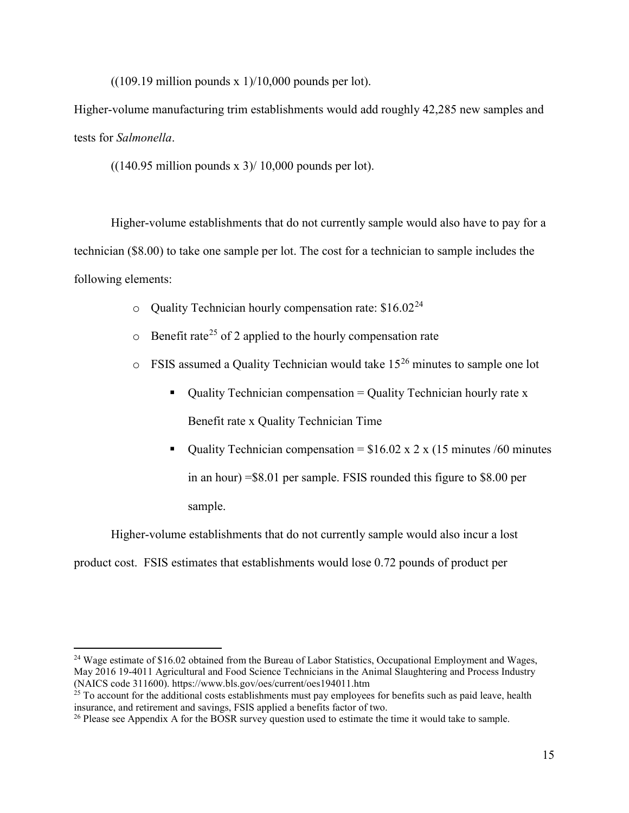$((109.19 \text{ million pounds x } 1)/10,000 \text{ pounds per lot}).$ 

 tests for *Salmonella*. Higher-volume manufacturing trim establishments would add roughly 42,285 new samples and

 $((140.95 \text{ million pounds x } 3) / 10,000 \text{ pounds per lot}).$ 

 technician (\$8.00) to take one sample per lot. The cost for a technician to sample includes the following elements: Higher-volume establishments that do not currently sample would also have to pay for a

- $\circ$  Quality Technician hourly compensation rate: \$16.02<sup>[24](#page-14-0)</sup>
- $\circ$  Benefit rate<sup>25</sup> of 2 applied to the hourly compensation rate
- $\circ$  FSIS assumed a Quality Technician would take 15<sup>26</sup> minutes to sample one lot
	- $\blacksquare$  Quality Technician compensation = Quality Technician hourly rate x Benefit rate x Quality Technician Time
	- Quality Technician compensation =  $$16.02 \times 2 \times (15 \text{ minutes} / 60 \text{ minutes})$ sample. in an hour) =\$8.01 per sample. FSIS rounded this figure to \$8.00 per

sample. Higher-volume establishments that do not currently sample would also incur a lost

product cost. FSIS estimates that establishments would lose 0.72 pounds of product per

<span id="page-14-0"></span><sup>&</sup>lt;sup>24</sup> Wage estimate of \$16.02 obtained from the Bureau of Labor Statistics, Occupational Employment and Wages, May 2016 19-4011 Agricultural and Food Science Technicians in the Animal Slaughtering and Process Industry (NAICS code 311600). https://www.bls.gov/oes/current/oes194011.htm

<span id="page-14-1"></span><sup>(</sup>NAICS code 311600). <https://www.bls.gov/oes/current/oes194011.htm><br><sup>25</sup> To account for the additional costs establishments must pay employees for benefits such as paid leave, health insurance, and retirement and savings, FSIS applied a benefits factor of two. 26 Please see Appendix A for the BOSR survey question used to estimate the time it would take to sample.

<span id="page-14-2"></span>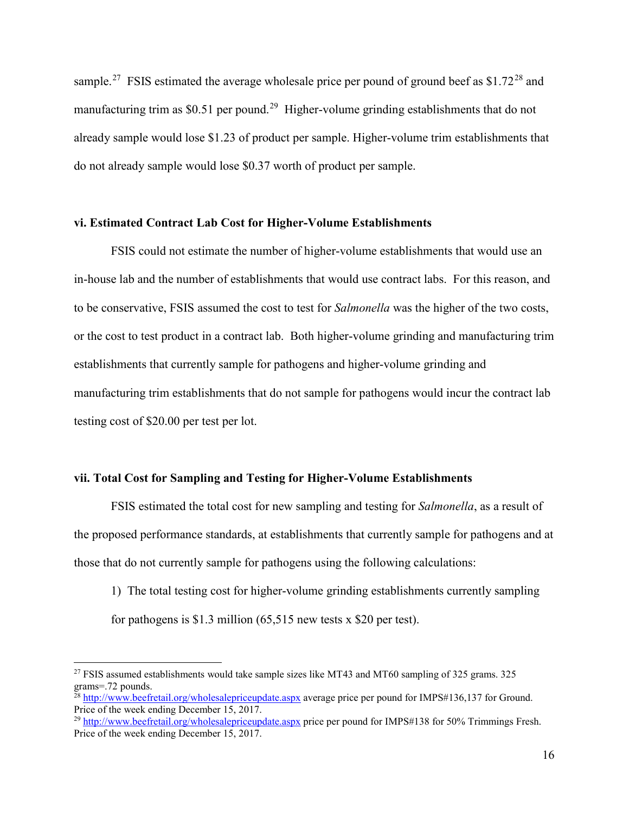sample.<sup>27</sup> FSIS estimated the average wholesale price per pound of ground beef as \$1.72<sup>[28](#page-15-1)</sup> and manufacturing trim as \$0.51 per pound.<sup>29</sup> Higher-volume grinding establishments that do not do not already sample would lose \$0.37 worth of product per sample. already sample would lose \$1.23 of product per sample. Higher-volume trim establishments that

#### **vi. Estimated Contract Lab Cost for Higher-Volume Establishments**

 FSIS could not estimate the number of higher-volume establishments that would use an in-house lab and the number of establishments that would use contract labs. For this reason, and to be conservative, FSIS assumed the cost to test for *Salmonella* was the higher of the two costs, or the cost to test product in a contract lab. Both higher-volume grinding and manufacturing trim establishments that currently sample for pathogens and higher-volume grinding and manufacturing trim establishments that do not sample for pathogens would incur the contract lab testing cost of \$20.00 per test per lot.

#### **vii. Total Cost for Sampling and Testing for Higher-Volume Establishments**

 the proposed performance standards, at establishments that currently sample for pathogens and at those that do not currently sample for pathogens using the following calculations: FSIS estimated the total cost for new sampling and testing for *Salmonella*, as a result of

for pathogens is \$1.3 million  $(65,515$  new tests x \$20 per test). 1) The total testing cost for higher-volume grinding establishments currently sampling

<span id="page-15-0"></span><sup>&</sup>lt;sup>27</sup> FSIS assumed establishments would take sample sizes like MT43 and MT60 sampling of 325 grams. 325 [grams=.72](https://grams=.72) pounds.<br><sup>28</sup><http://www.beefretail.org/wholesalepriceupdate.aspx>average price per pound for IMPS#136,137 for Ground.

<span id="page-15-1"></span>Price of the week ending December 15, 2017.

<span id="page-15-2"></span><sup>&</sup>lt;sup>29</sup><http://www.beefretail.org/wholesalepriceupdate.aspx>price per pound for IMPS#138 for 50% Trimmings Fresh. Price of the week ending December 15, 2017.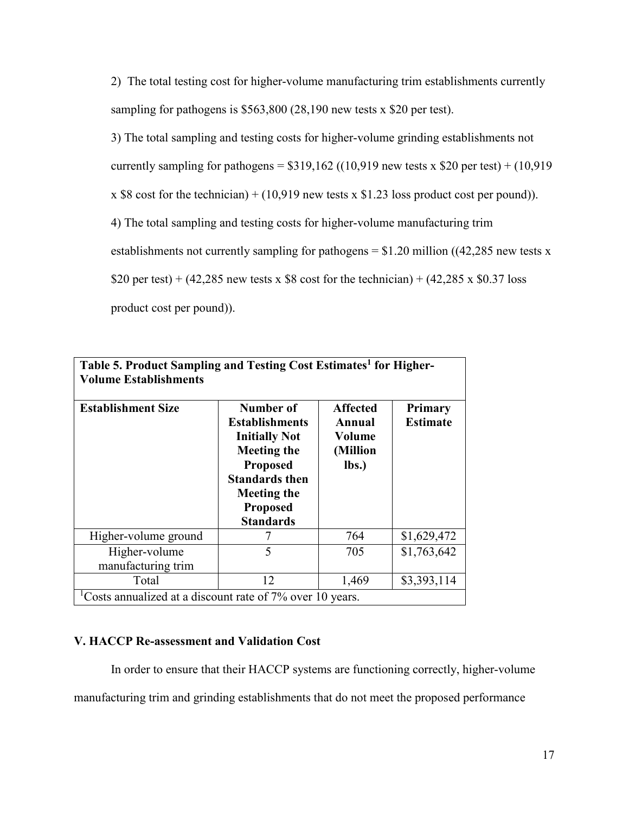2) The total testing cost for higher-volume manufacturing trim establishments currently sampling for pathogens is \$563,800 (28,190 new tests x \$20 per test).

3) The total sampling and testing costs for higher-volume grinding establishments not

currently sampling for pathogens =  $$319,162$  ((10,919 new tests x  $$20$  per test) + (10,919

x \$8 cost for the technician) + (10,919 new tests x \$1.23 loss product cost per pound)). 4) The total sampling and testing costs for higher-volume manufacturing trim

4) The total sampling and testing costs for higher-volume manufacturing trim

establishments not currently sampling for pathogens =  $$1.20$  million ((42,285 new tests x)

\$20 per test) +  $(42,285)$  new tests x \$8 cost for the technician) +  $(42,285)$  x \$0.37 loss

product cost per pound)).

| Table 5. Product Sampling and Testing Cost Estimates <sup>1</sup> for Higher-<br><b>Volume Establishments</b> |                                                                                                                                                                                           |                                                          |                                   |  |  |  |  |
|---------------------------------------------------------------------------------------------------------------|-------------------------------------------------------------------------------------------------------------------------------------------------------------------------------------------|----------------------------------------------------------|-----------------------------------|--|--|--|--|
| <b>Establishment Size</b>                                                                                     | Number of<br><b>Establishments</b><br><b>Initially Not</b><br><b>Meeting the</b><br><b>Proposed</b><br><b>Standards then</b><br><b>Meeting the</b><br><b>Proposed</b><br><b>Standards</b> | <b>Affected</b><br>Annual<br>Volume<br>(Million<br>lbs.) | <b>Primary</b><br><b>Estimate</b> |  |  |  |  |
| Higher-volume ground                                                                                          | 7                                                                                                                                                                                         | 764                                                      | \$1,629,472                       |  |  |  |  |
| Higher-volume<br>manufacturing trim                                                                           | 5                                                                                                                                                                                         | 705                                                      | \$1,763,642                       |  |  |  |  |
| Total                                                                                                         | 12                                                                                                                                                                                        | 1,469                                                    | \$3,393,114                       |  |  |  |  |
| <sup>1</sup> Costs annualized at a discount rate of $7\%$ over 10 years.                                      |                                                                                                                                                                                           |                                                          |                                   |  |  |  |  |

## **V. HACCP Re-assessment and Validation Cost**

In order to ensure that their HACCP systems are functioning correctly, higher-volume manufacturing trim and grinding establishments that do not meet the proposed performance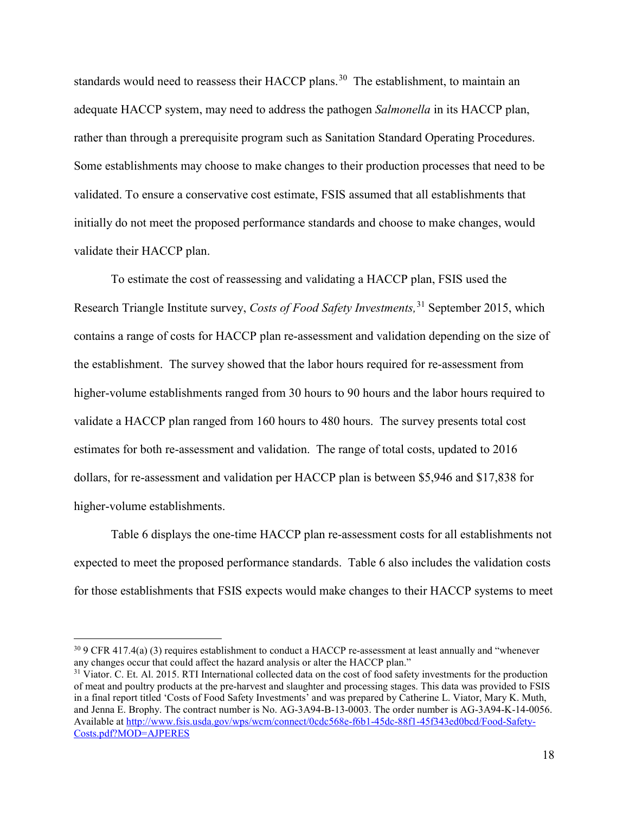standards would need to reassess their HACCP plans.<sup>[30](#page-17-0)</sup> The establishment, to maintain an validated. To ensure a conservative cost estimate, FSIS assumed that all establishments that adequate HACCP system, may need to address the pathogen *Salmonella* in its HACCP plan, rather than through a prerequisite program such as Sanitation Standard Operating Procedures. Some establishments may choose to make changes to their production processes that need to be initially do not meet the proposed performance standards and choose to make changes, would validate their HACCP plan.

 contains a range of costs for HACCP plan re-assessment and validation depending on the size of the establishment. The survey showed that the labor hours required for re-assessment from validate a HACCP plan ranged from 160 hours to 480 hours. The survey presents total cost dollars, for re-assessment and validation per HACCP plan is between \$5,946 and \$17,838 for To estimate the cost of reassessing and validating a HACCP plan, FSIS used the Research Triangle Institute survey, *Costs of Food Safety Investments,*[31](#page-17-1) September 2015, which higher-volume establishments ranged from 30 hours to 90 hours and the labor hours required to estimates for both re-assessment and validation. The range of total costs, updated to 2016 higher-volume establishments.

 Table 6 displays the one-time HACCP plan re-assessment costs for all establishments not expected to meet the proposed performance standards. Table 6 also includes the validation costs for those establishments that FSIS expects would make changes to their HACCP systems to meet

<span id="page-17-0"></span> $30$  9 CFR 417.4(a) (3) requires establishment to conduct a HACCP re-assessment at least annually and "whenever" any changes occur that could affect the hazard analysis or alter the HACCP plan." any changes occur that could affect the hazard analysis or alter the HACCP plan."<br><sup>31</sup> Viator. C. Et. Al. 2015. RTI International collected data on the cost of food safety investments for the production

<span id="page-17-1"></span>Costs.pdf?MOD=AJPERES of meat and poultry products at the pre-harvest and slaughter and processing stages. This data was provided to FSIS in a final report titled 'Costs of Food Safety Investments' and was prepared by Catherine L. Viator, Mary K. Muth, and Jenna E. Brophy. The contract number is No. AG-3A94-B-13-0003. The order number is AG-3A94-K-14-0056. Available at [http://www.fsis.usda.gov/wps/wcm/connect/0cdc568e-f6b1-45dc-88f1-45f343ed0bcd/Food-Safety-](http://www.fsis.usda.gov/wps/wcm/connect/0cdc568e-f6b1-45dc-88f1-45f343ed0bcd/Food-Safety-Costs.pdf?MOD=AJPERES)[Costs.pdf?MOD=AJPERES](http://www.fsis.usda.gov/wps/wcm/connect/0cdc568e-f6b1-45dc-88f1-45f343ed0bcd/Food-Safety-Costs.pdf?MOD=AJPERES) 18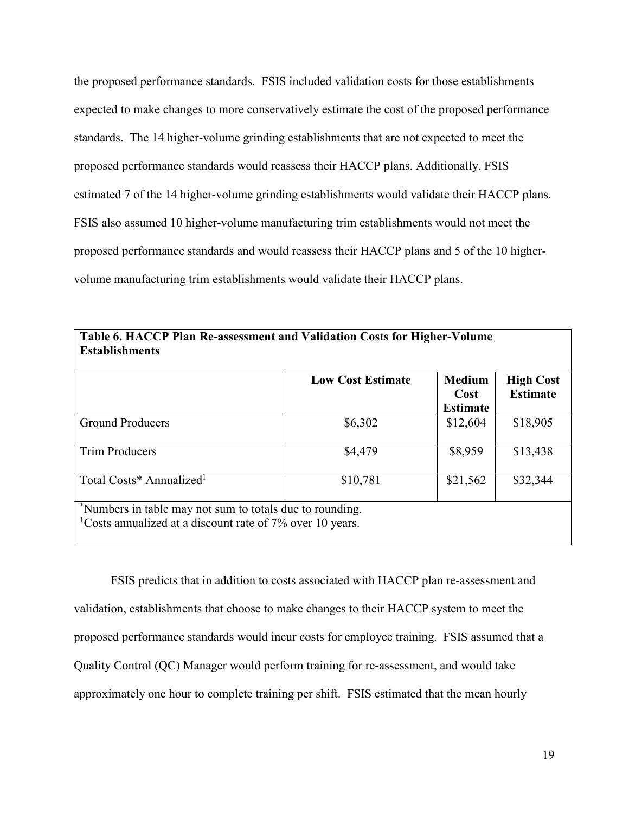the proposed performance standards. FSIS included validation costs for those establishments standards. The 14 higher-volume grinding establishments that are not expected to meet the proposed performance standards would reassess their HACCP plans. Additionally, FSIS estimated 7 of the 14 higher-volume grinding establishments would validate their HACCP plans. proposed performance standards and would reassess their HACCP plans and 5 of the 10 higher- volume manufacturing trim establishments would validate their HACCP plans. expected to make changes to more conservatively estimate the cost of the proposed performance FSIS also assumed 10 higher-volume manufacturing trim establishments would not meet the

| <b>Establishments</b><br><b>Low Cost Estimate</b><br><b>Medium</b><br><b>High Cost</b>                                              |          |                         |                 |  |  |  |  |
|-------------------------------------------------------------------------------------------------------------------------------------|----------|-------------------------|-----------------|--|--|--|--|
|                                                                                                                                     |          | Cost<br><b>Estimate</b> | <b>Estimate</b> |  |  |  |  |
| <b>Ground Producers</b>                                                                                                             | \$6,302  | \$12,604                | \$18,905        |  |  |  |  |
| <b>Trim Producers</b>                                                                                                               | \$4,479  | \$8,959                 | \$13,438        |  |  |  |  |
| Total Costs* Annualized <sup>1</sup>                                                                                                | \$10,781 | \$21,562                | \$32,344        |  |  |  |  |
| Numbers in table may not sum to totals due to rounding.<br><sup>1</sup> Costs annualized at a discount rate of $7\%$ over 10 years. |          |                         |                 |  |  |  |  |

 proposed performance standards would incur costs for employee training. FSIS assumed that a approximately one hour to complete training per shift. FSIS estimated that the mean hourly FSIS predicts that in addition to costs associated with HACCP plan re-assessment and validation, establishments that choose to make changes to their HACCP system to meet the Quality Control (QC) Manager would perform training for re-assessment, and would take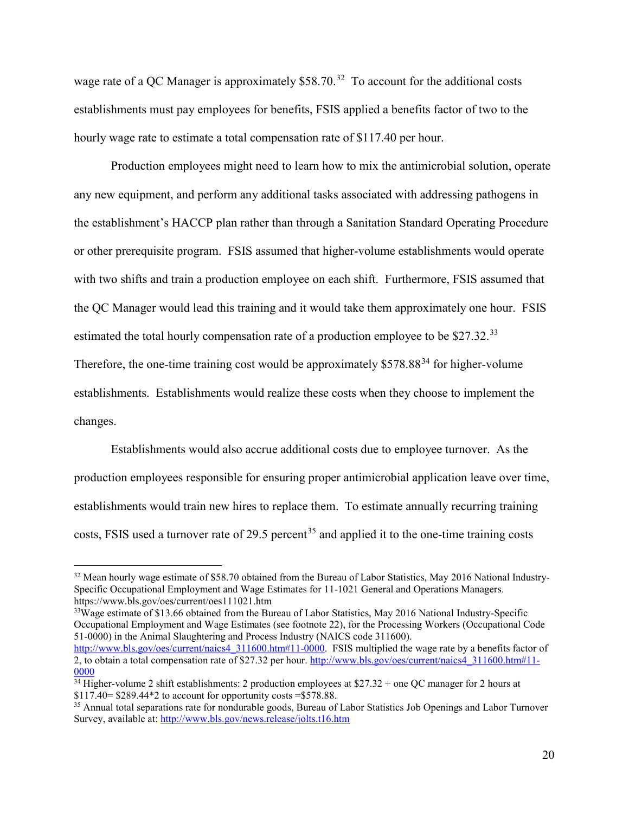wage rate of a QC Manager is approximately  $$58.70<sup>32</sup>$  To account for the additional costs establishments must pay employees for benefits, FSIS applied a benefits factor of two to the hourly wage rate to estimate a total compensation rate of \$117.40 per hour.

 with two shifts and train a production employee on each shift. Furthermore, FSIS assumed that the QC Manager would lead this training and it would take them approximately one hour. FSIS estimated the total hourly compensation rate of a production employee to be  $$27.32.^{33}$  $$27.32.^{33}$  $$27.32.^{33}$ Production employees might need to learn how to mix the antimicrobial solution, operate any new equipment, and perform any additional tasks associated with addressing pathogens in the establishment's HACCP plan rather than through a Sanitation Standard Operating Procedure or other prerequisite program. FSIS assumed that higher-volume establishments would operate

Therefore, the one-time training cost would be approximately  $$578.88<sup>34</sup>$  for higher-volume establishments. Establishments would realize these costs when they choose to implement the changes.

 establishments would train new hires to replace them. To estimate annually recurring training costs, FSIS used a turnover rate of 29.5 percent<sup>35</sup> and applied it to the one-time training costs Establishments would also accrue additional costs due to employee turnover. As the production employees responsible for ensuring proper antimicrobial application leave over time,

 $\overline{a}$ 

<span id="page-19-1"></span><sup>33</sup>Wage estimate of \$13.66 obtained from the Bureau of Labor Statistics, May 2016 National Industry-Specific Occupational Employment and Wage Estimates (see footnote 22), for the Processing Workers (Occupational Code 51-0000) in the Animal Slaughtering and Process Industry (NAICS code 311600). [http://www.bls.gov/oes/current/naics4\\_311600.htm#11-0000.](http://www.bls.gov/oes/current/naics4_311600.htm#11-0000) FSIS multiplied the wage rate by a benefits factor of 2, to obtain a total compensation rate of \$27.32 per hour. [http://www.bls.gov/oes/current/naics4\\_311600.htm#11-](http://www.bls.gov/oes/current/naics4_311600.htm#11-0000) [0000](http://www.bls.gov/oes/current/naics4_311600.htm#11-0000) 

<span id="page-19-0"></span><sup>&</sup>lt;sup>32</sup> Mean hourly wage estimate of \$58.70 obtained from the Bureau of Labor Statistics, May 2016 National Industry-Specific Occupational Employment and Wage Estimates for 11-1021 General and Operations Managers. <https://www.bls.gov/oes/current/oes111021.htm>

<span id="page-19-2"></span> $34$  Higher-volume 2 shift establishments: 2 production employees at \$27.32 + one QC manager for 2 hours at

<span id="page-19-3"></span><sup>\$117.40= \$289.44\*2</sup> to account for opportunity costs = \$578.88.<br><sup>35</sup> Annual total separations rate for nondurable goods, Bureau of Labor Statistics Job Openings and Labor Turnover Survey, available at:<http://www.bls.gov/news.release/jolts.t16.htm>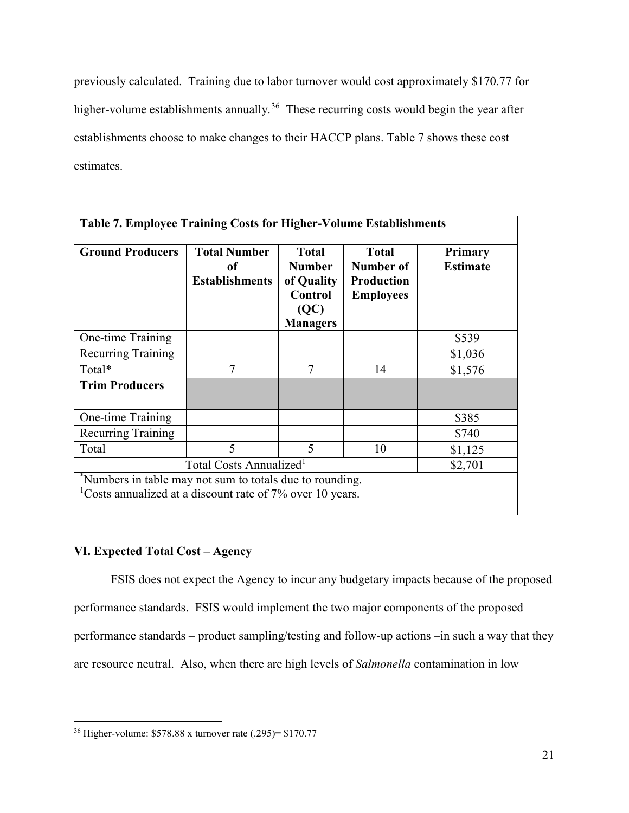previously calculated. Training due to labor turnover would cost approximately \$170.77 for higher-volume establishments annually.<sup>[36](#page-20-0)</sup> These recurring costs would begin the year after establishments choose to make changes to their HACCP plans. Table 7 shows these cost estimates.

| <b>Ground Producers</b>                        | <b>Total Number</b><br>оf<br><b>Establishments</b> | <b>Total</b><br><b>Number</b><br>of Quality<br>Control<br>(QC)<br><b>Managers</b> | <b>Total</b><br>Number of<br><b>Production</b><br><b>Employees</b> | <b>Primary</b><br><b>Estimate</b> |  |
|------------------------------------------------|----------------------------------------------------|-----------------------------------------------------------------------------------|--------------------------------------------------------------------|-----------------------------------|--|
| One-time Training                              |                                                    |                                                                                   |                                                                    | \$539                             |  |
| <b>Recurring Training</b>                      |                                                    |                                                                                   |                                                                    | \$1,036                           |  |
| Total*                                         | 7                                                  | $\tau$                                                                            | 14                                                                 | \$1,576                           |  |
| <b>Trim Producers</b>                          |                                                    |                                                                                   |                                                                    |                                   |  |
| One-time Training                              |                                                    |                                                                                   |                                                                    | \$385                             |  |
| Recurring Training                             |                                                    |                                                                                   |                                                                    | \$740                             |  |
| Total                                          | $\varsigma$                                        | $\varsigma$                                                                       | 10                                                                 | \$1,125                           |  |
| Total Costs Annualized <sup>1</sup><br>\$2,701 |                                                    |                                                                                   |                                                                    |                                   |  |

## **VI. Expected Total Cost – Agency**

 FSIS does not expect the Agency to incur any budgetary impacts because of the proposed performance standards. FSIS would implement the two major components of the proposed performance standards – product sampling/testing and follow-up actions –in such a way that they are resource neutral. Also, when there are high levels of *Salmonella* contamination in low

<span id="page-20-0"></span> $\overline{a}$ 36 Higher-volume: \$578.88 x turnover rate (.295)= \$170.77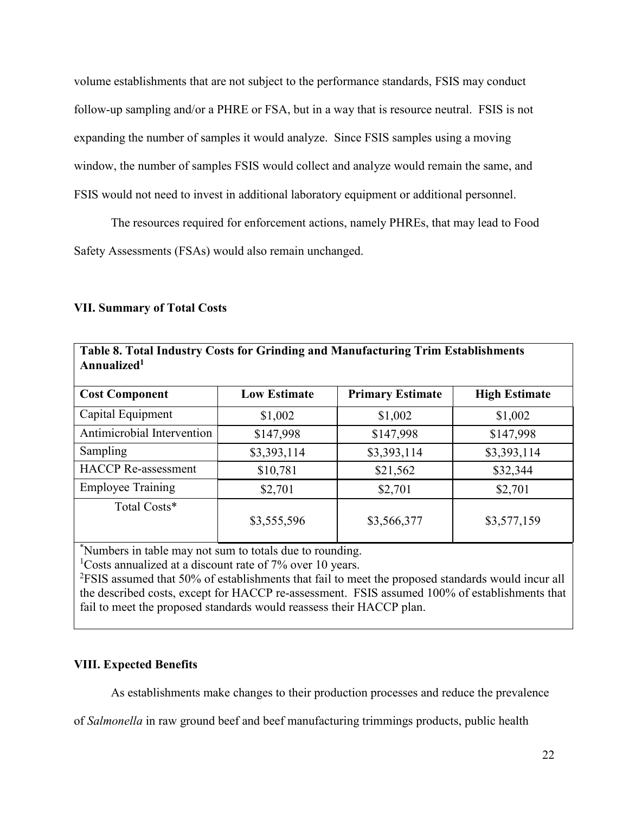volume establishments that are not subject to the performance standards, FSIS may conduct follow-up sampling and/or a PHRE or FSA, but in a way that is resource neutral. FSIS is not expanding the number of samples it would analyze. Since FSIS samples using a moving window, the number of samples FSIS would collect and analyze would remain the same, and FSIS would not need to invest in additional laboratory equipment or additional personnel.

 Safety Assessments (FSAs) would also remain unchanged. The resources required for enforcement actions, namely PHREs, that may lead to Food

## **VII. Summary of Total Costs**

| <b>Cost Component</b>      | <b>Low Estimate</b> | <b>Primary Estimate</b> | <b>High Estimate</b> |
|----------------------------|---------------------|-------------------------|----------------------|
| Capital Equipment          | \$1,002             | \$1,002                 | \$1,002              |
| Antimicrobial Intervention | \$147,998           | \$147,998               | \$147,998            |
| Sampling                   | \$3,393,114         | \$3,393,114             | \$3,393,114          |
| <b>HACCP</b> Re-assessment | \$10,781            | \$21,562                | \$32,344             |
| <b>Employee Training</b>   | \$2,701             | \$2,701                 | \$2,701              |
| Total Costs*               | \$3,555,596         | \$3,566,377             | \$3,577,159          |

**Table 8. Total Industry Costs for Grinding and Manufacturing Trim Establishments Annualized1** 

\*Numbers in table may not sum to totals due to rounding.

<sup>1</sup>Costs annualized at a discount rate of  $7\%$  over 10 years.

 the described costs, except for HACCP re-assessment. FSIS assumed 100% of establishments that fail to meet the proposed standards would reassess their HACCP plan.  $2$ FSIS assumed that 50% of establishments that fail to meet the proposed standards would incur all

## **VIII. Expected Benefits**

As establishments make changes to their production processes and reduce the prevalence

of *Salmonella* in raw ground beef and beef manufacturing trimmings products, public health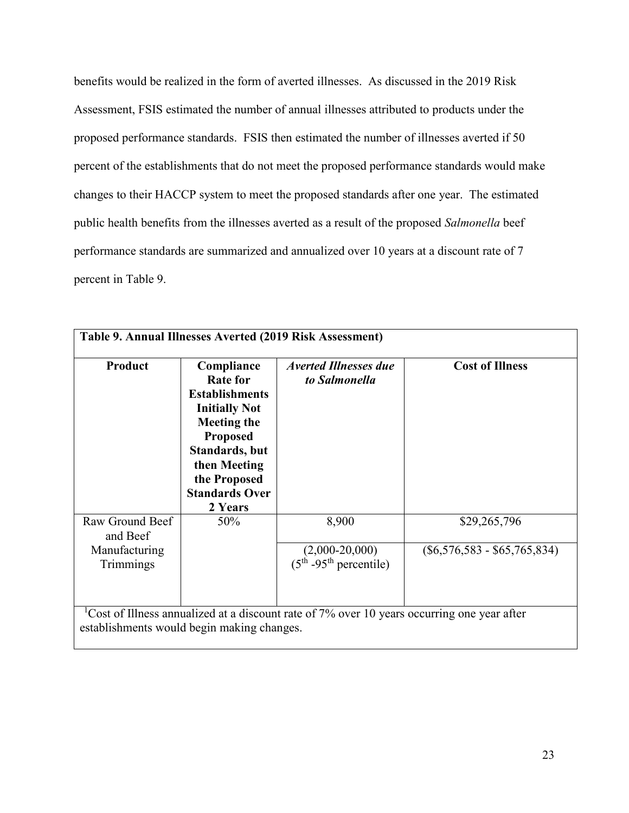benefits would be realized in the form of averted illnesses. As discussed in the 2019 Risk proposed performance standards. FSIS then estimated the number of illnesses averted if 50 percent of the establishments that do not meet the proposed performance standards would make changes to their HACCP system to meet the proposed standards after one year. The estimated Assessment, FSIS estimated the number of annual illnesses attributed to products under the public health benefits from the illnesses averted as a result of the proposed *Salmonella* beef performance standards are summarized and annualized over 10 years at a discount rate of 7 percent in Table 9.

| Product                     | Compliance<br><b>Rate for</b><br><b>Establishments</b><br><b>Initially Not</b><br><b>Meeting the</b><br><b>Proposed</b><br>Standards, but<br>then Meeting<br>the Proposed<br><b>Standards Over</b><br>2 Years | <b>Averted Illnesses due</b><br>to Salmonella | <b>Cost of Illness</b>         |
|-----------------------------|---------------------------------------------------------------------------------------------------------------------------------------------------------------------------------------------------------------|-----------------------------------------------|--------------------------------|
| Raw Ground Beef<br>and Beef | 50%                                                                                                                                                                                                           | 8,900                                         | \$29,265,796                   |
| Manufacturing<br>Trimmings  |                                                                                                                                                                                                               | $(2,000-20,000)$<br>$(5th - 95th$ percentile) | $(\$6,576,583 - \$65,765,834)$ |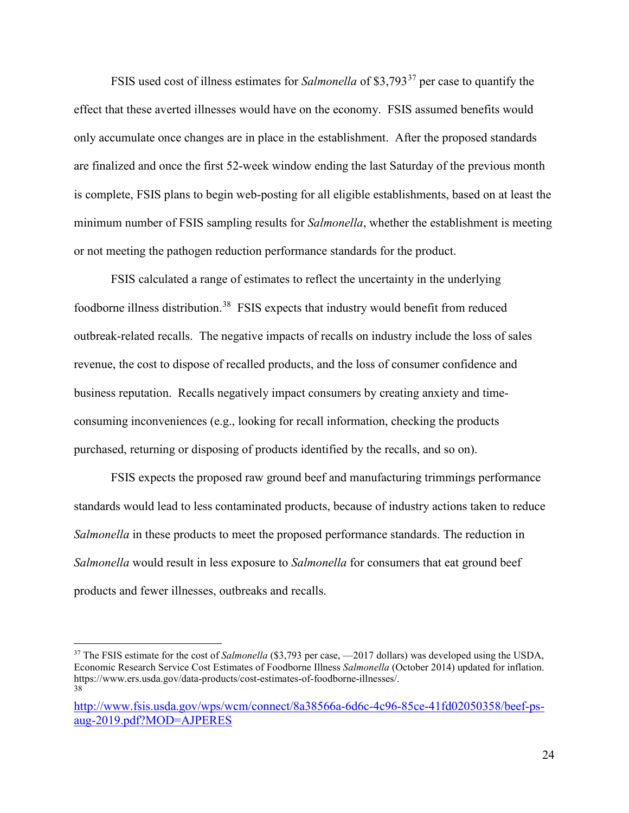FSIS used cost of illness estimates for *Salmonella* of \$3,793[37](#page-23-0) per case to quantify the only accumulate once changes are in place in the establishment. After the proposed standards effect that these averted illnesses would have on the economy. FSIS assumed benefits would are finalized and once the first 52-week window ending the last Saturday of the previous month is complete, FSIS plans to begin web-posting for all eligible establishments, based on at least the minimum number of FSIS sampling results for *Salmonella*, whether the establishment is meeting or not meeting the pathogen reduction performance standards for the product.

 FSIS calculated a range of estimates to reflect the uncertainty in the underlying foodborne illness distribution.<sup>[38](#page-23-1)</sup> FSIS expects that industry would benefit from reduced business reputation. Recalls negatively impact consumers by creating anxiety and timeoutbreak-related recalls. The negative impacts of recalls on industry include the loss of sales revenue, the cost to dispose of recalled products, and the loss of consumer confidence and consuming inconveniences (e.g., looking for recall information, checking the products purchased, returning or disposing of products identified by the recalls, and so on).

 FSIS expects the proposed raw ground beef and manufacturing trimmings performance standards would lead to less contaminated products, because of industry actions taken to reduce *Salmonella* would result in less exposure to *Salmonella* for consumers that eat ground beef *Salmonella* in these products to meet the proposed performance standards. The reduction in products and fewer illnesses, outbreaks and recalls.

<span id="page-23-0"></span> Economic Research Service Cost Estimates of Foodborne Illness *Salmonella* (October 2014) updated for inflation. <sup>37</sup> The FSIS estimate for the cost of *Salmonella* (\$3,793 per case, -2017 dollars) was developed using the USDA, [https://www.ers.usda.gov/data-products/cost-estimates-of-foodborne-illnesses/](https://www.ers.usda.gov/data-products/cost-estimates-of-foodborne-illnesses). 38

<span id="page-23-1"></span>[http://www.fsis.usda.gov/wps/wcm/connect/8a38566a-6d6c-4c96-85ce-41fd02050358/beef-ps](https://gcc02.safelinks.protection.outlook.com/?url=http%3A%2F%2Fwww.fsis.usda.gov%2Fwps%2Fwcm%2Fconnect%2F8a38566a-6d6c-4c96-85ce-41fd02050358%2Fbeef-ps-aug-2019.pdf%3FMOD%3DAJPERES&data=02%7C01%7C%7Cbdd1ac9957144f7df75608d7360e259f%7Ced5b36e701ee4ebc867ee03cfa0d4697%7C0%7C0%7C637037306702320612&sdata=fTVWo2jk6P26RuvEY9DMjAq0aqlxoiTjugHCDxi4%2FhM%3D&reserved=0)[aug-2019.pdf?MOD=AJPERES](https://gcc02.safelinks.protection.outlook.com/?url=http%3A%2F%2Fwww.fsis.usda.gov%2Fwps%2Fwcm%2Fconnect%2F8a38566a-6d6c-4c96-85ce-41fd02050358%2Fbeef-ps-aug-2019.pdf%3FMOD%3DAJPERES&data=02%7C01%7C%7Cbdd1ac9957144f7df75608d7360e259f%7Ced5b36e701ee4ebc867ee03cfa0d4697%7C0%7C0%7C637037306702320612&sdata=fTVWo2jk6P26RuvEY9DMjAq0aqlxoiTjugHCDxi4%2FhM%3D&reserved=0)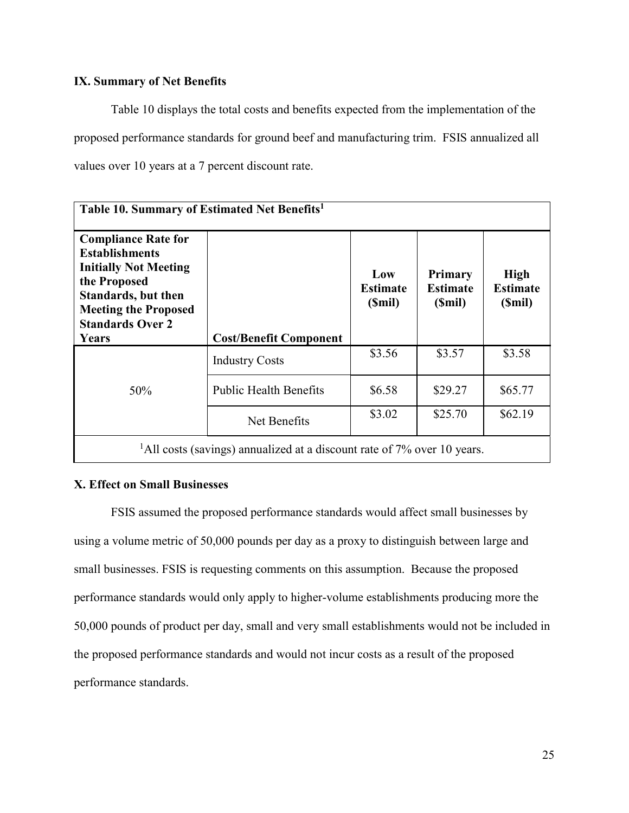## **IX. Summary of Net Benefits**

 proposed performance standards for ground beef and manufacturing trim. FSIS annualized all values over 10 years at a 7 percent discount rate. Table 10 displays the total costs and benefits expected from the implementation of the

| Table 10. Summary of Estimated Net Benefits <sup>1</sup>                                                                                                                                             |                                                                                        |                                  |                                      |                                          |  |  |  |
|------------------------------------------------------------------------------------------------------------------------------------------------------------------------------------------------------|----------------------------------------------------------------------------------------|----------------------------------|--------------------------------------|------------------------------------------|--|--|--|
| <b>Compliance Rate for</b><br><b>Establishments</b><br><b>Initially Not Meeting</b><br>the Proposed<br><b>Standards, but then</b><br><b>Meeting the Proposed</b><br><b>Standards Over 2</b><br>Years | <b>Cost/Benefit Component</b>                                                          | Low<br><b>Estimate</b><br>(Smil) | Primary<br><b>Estimate</b><br>(Smil) | <b>High</b><br><b>Estimate</b><br>(Smil) |  |  |  |
|                                                                                                                                                                                                      | <b>Industry Costs</b>                                                                  | \$3.56                           | \$3.57                               | \$3.58                                   |  |  |  |
| 50%                                                                                                                                                                                                  | <b>Public Health Benefits</b>                                                          | \$6.58                           | \$29.27                              | \$65.77                                  |  |  |  |
|                                                                                                                                                                                                      | Net Benefits                                                                           | \$3.02                           | \$25.70                              | \$62.19                                  |  |  |  |
|                                                                                                                                                                                                      | <sup>1</sup> All costs (savings) annualized at a discount rate of $7\%$ over 10 years. |                                  |                                      |                                          |  |  |  |

## **X. Effect on Small Businesses**

 using a volume metric of 50,000 pounds per day as a proxy to distinguish between large and small businesses. FSIS is requesting comments on this assumption. Because the proposed performance standards. FSIS assumed the proposed performance standards would affect small businesses by performance standards would only apply to higher-volume establishments producing more the 50,000 pounds of product per day, small and very small establishments would not be included in the proposed performance standards and would not incur costs as a result of the proposed performance standards.<br>
25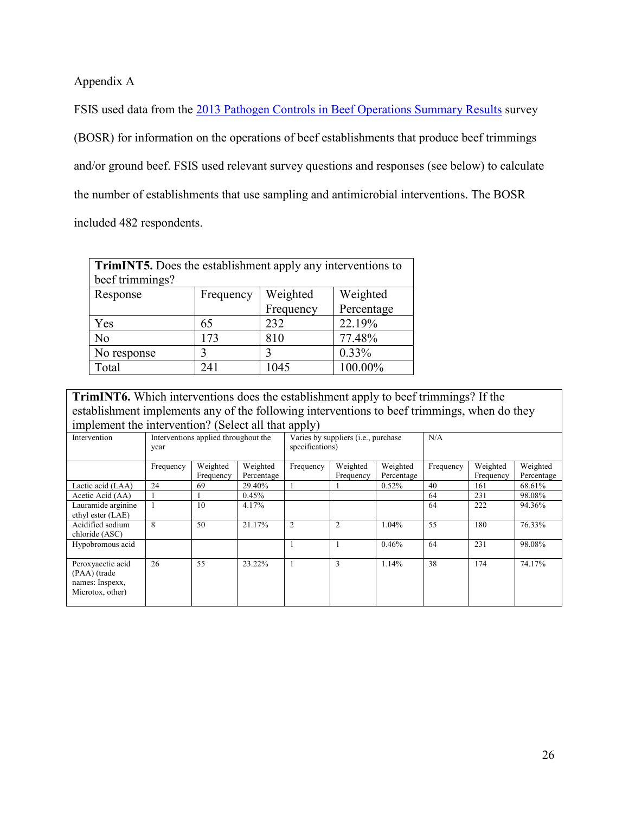Appendix A

FSIS used data from the [2013 Pathogen Controls in Beef Operations Summary Results](http://www.fsis.usda.gov/wps/wcm/connect/fe95af5f-3271-41af-b92b-68490fa87cab/beef-operations-summary-results.pdf?MOD=AJPERES) survey (BOSR) for information on the operations of beef establishments that produce beef trimmings and/or ground beef. FSIS used relevant survey questions and responses (see below) to calculate the number of establishments that use sampling and antimicrobial interventions. The BOSR included 482 respondents.

| <b>TrimINT5.</b> Does the establishment apply any interventions to |           |          |          |  |  |  |  |
|--------------------------------------------------------------------|-----------|----------|----------|--|--|--|--|
| beef trimmings?                                                    |           |          |          |  |  |  |  |
| Response                                                           | Frequency | Weighted | Weighted |  |  |  |  |
| Percentage<br>Frequency                                            |           |          |          |  |  |  |  |
| Yes                                                                | 65        | 232      | 22.19%   |  |  |  |  |
| No                                                                 | 173       | 810      | 77.48%   |  |  |  |  |
| No response                                                        |           |          | 0.33%    |  |  |  |  |
| Total                                                              | 241       | 1045     | 100.00%  |  |  |  |  |

**TrimINT6.** Which interventions does the establishment apply to beef trimmings? If the establishment implements any of the following interventions to beef trimmings, when do they implement the intervention? (Select all that apply)

|                    |                                              |           |                                                        | r r - <i>j i</i> |                |            |           |           |            |
|--------------------|----------------------------------------------|-----------|--------------------------------------------------------|------------------|----------------|------------|-----------|-----------|------------|
| Intervention       | Interventions applied throughout the<br>year |           | Varies by suppliers (i.e., purchase<br>specifications) |                  | N/A            |            |           |           |            |
|                    | Frequency                                    | Weighted  | Weighted                                               | Frequency        | Weighted       | Weighted   | Frequency | Weighted  | Weighted   |
|                    |                                              | Frequency | Percentage                                             |                  | Frequency      | Percentage |           | Frequency | Percentage |
| Lactic acid (LAA)  | 24                                           | 69        | 29.40%                                                 |                  |                | 0.52%      | 40        | 161       | 68.61%     |
| Acetic Acid (AA)   |                                              |           | 0.45%                                                  |                  |                |            | 64        | 231       | 98.08%     |
| Lauramide arginine |                                              | 10        | 4.17%                                                  |                  |                |            | 64        | 222       | 94.36%     |
| ethyl ester (LAE)  |                                              |           |                                                        |                  |                |            |           |           |            |
| Acidified sodium   | 8                                            | 50        | 21.17%                                                 | 2                | $\overline{2}$ | 1.04%      | 55        | 180       | 76.33%     |
| chloride (ASC)     |                                              |           |                                                        |                  |                |            |           |           |            |
| Hypobromous acid   |                                              |           |                                                        |                  |                | 0.46%      | 64        | 231       | 98.08%     |
|                    |                                              |           |                                                        |                  |                |            |           |           |            |
| Peroxyacetic acid  | 26                                           | 55        | 23.22%                                                 |                  | 3              | 1.14%      | 38        | 174       | 74.17%     |
| (PAA) (trade       |                                              |           |                                                        |                  |                |            |           |           |            |
| names: Inspexx,    |                                              |           |                                                        |                  |                |            |           |           |            |
| Microtox, other)   |                                              |           |                                                        |                  |                |            |           |           |            |
|                    |                                              |           |                                                        |                  |                |            |           |           |            |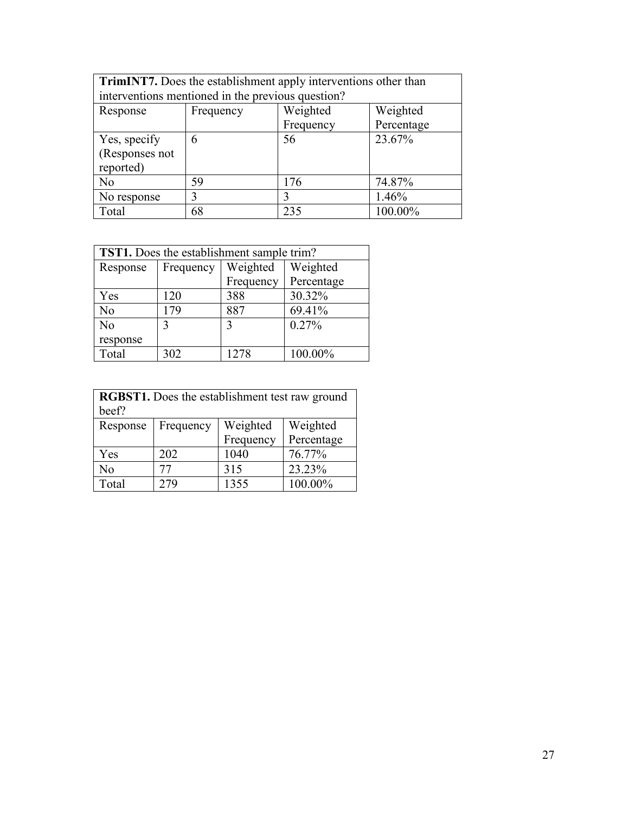| <b>TrimINT7.</b> Does the establishment apply interventions other than |           |           |            |  |  |  |
|------------------------------------------------------------------------|-----------|-----------|------------|--|--|--|
| interventions mentioned in the previous question?                      |           |           |            |  |  |  |
| Response                                                               | Frequency | Weighted  | Weighted   |  |  |  |
|                                                                        |           | Frequency | Percentage |  |  |  |
| Yes, specify                                                           | 6         | 56        | 23.67%     |  |  |  |
| (Responses not                                                         |           |           |            |  |  |  |
| reported)                                                              |           |           |            |  |  |  |
| No                                                                     | 59        | 176       | 74.87%     |  |  |  |
| No response                                                            | 3         | 3         | 1.46%      |  |  |  |
| Total                                                                  | 68        | 235       | 100.00%    |  |  |  |

| <b>TST1.</b> Does the establishment sample trim? |           |             |            |  |  |
|--------------------------------------------------|-----------|-------------|------------|--|--|
| Response                                         | Frequency | Weighted    | Weighted   |  |  |
|                                                  |           | Frequency   | Percentage |  |  |
| Yes                                              | 120       | 388         | 30.32%     |  |  |
| No                                               | 179       | 887         | 69.41%     |  |  |
| No                                               | 3         | $\mathbf 3$ | 0.27%      |  |  |
| response                                         |           |             |            |  |  |
| Total                                            | 302       | 1278        | 100.00%    |  |  |

| <b>RGBST1.</b> Does the establishment test raw ground |           |           |            |  |  |  |
|-------------------------------------------------------|-----------|-----------|------------|--|--|--|
| beef?                                                 |           |           |            |  |  |  |
| Response                                              | Frequency | Weighted  | Weighted   |  |  |  |
|                                                       |           | Frequency | Percentage |  |  |  |
| Yes                                                   | 202       | 1040      | 76.77%     |  |  |  |
| No                                                    | 77        | 315       | 23.23%     |  |  |  |
| Total                                                 | 279       | 1355      | 100.00%    |  |  |  |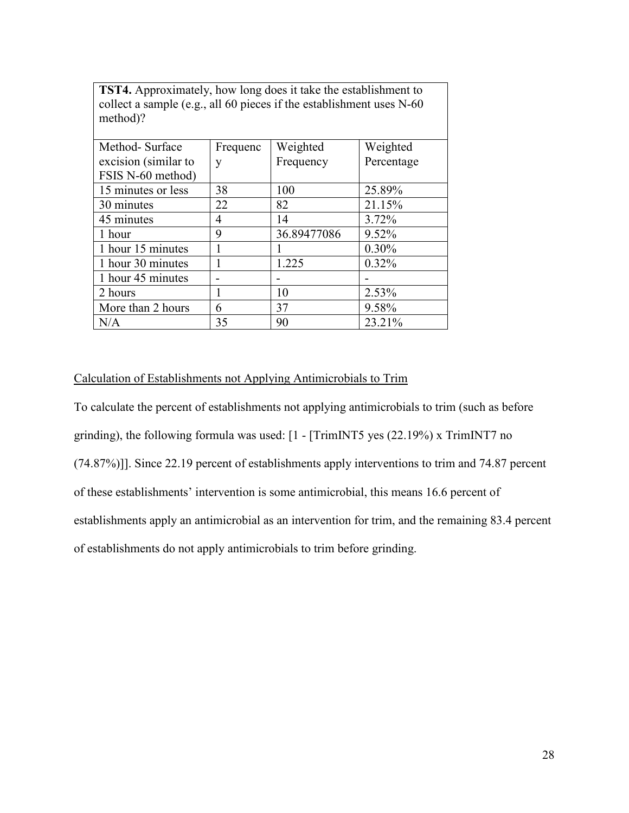| method)?             |          |             |            |  |  |  |
|----------------------|----------|-------------|------------|--|--|--|
| Method-Surface       | Frequenc | Weighted    | Weighted   |  |  |  |
| excision (similar to | у        | Frequency   | Percentage |  |  |  |
| FSIS N-60 method)    |          |             |            |  |  |  |
| 15 minutes or less   | 38       | 100         | 25.89%     |  |  |  |
| 30 minutes           | 22       | 82          | 21.15%     |  |  |  |
| 45 minutes           | 4        | 14          | 3.72%      |  |  |  |
| 1 hour               | 9        | 36.89477086 | 9.52%      |  |  |  |
| 1 hour 15 minutes    |          |             | 0.30%      |  |  |  |
| 1 hour 30 minutes    | 1        | 1.225       | 0.32%      |  |  |  |
| 1 hour 45 minutes    |          |             |            |  |  |  |
| 2 hours              | 1        | 10          | 2.53%      |  |  |  |
| More than 2 hours    | 6        | 37          | 9.58%      |  |  |  |
| N/A                  | 35       | 90          | 23.21%     |  |  |  |

**TST4.** Approximately, how long does it take the establishment to collect a sample (e.g., all 60 pieces if the establishment uses  $N$ -60

### Calculation of Establishments not Applying Antimicrobials to Trim

 grinding), the following formula was used: [1 - [TrimINT5 yes (22.19%) x TrimINT7 no of establishments do not apply antimicrobials to trim before grinding. To calculate the percent of establishments not applying antimicrobials to trim (such as before (74.87%)]]. Since 22.19 percent of establishments apply interventions to trim and 74.87 percent of these establishments' intervention is some antimicrobial, this means 16.6 percent of establishments apply an antimicrobial as an intervention for trim, and the remaining 83.4 percent